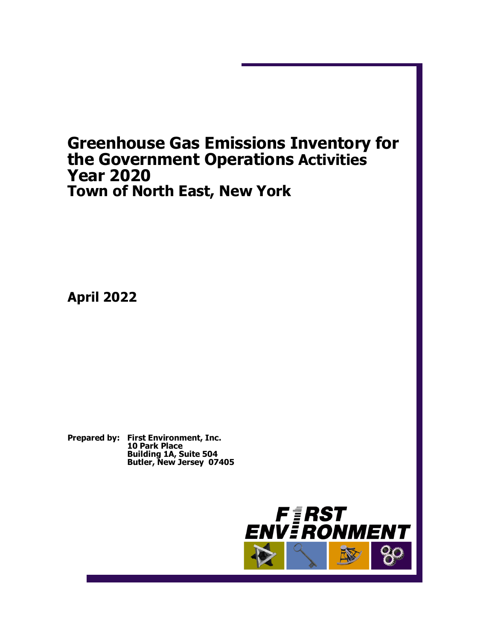# **Greenhouse Gas Emissions Inventory for the Government Operations Activities Year 2020 Town of North East, New York**

**April 2022**

**Prepared by: First Environment, Inc. 10 Park Place Building 1A, Suite 504 Butler, New Jersey 07405**

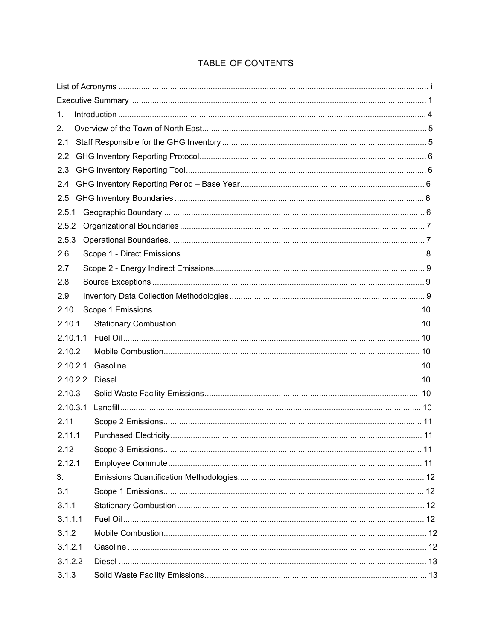### TABLE OF CONTENTS

| 1.       |  |
|----------|--|
| 2.       |  |
| 2.1      |  |
| 2.2      |  |
| 2.3      |  |
| 2.4      |  |
| 2.5      |  |
| 2.5.1    |  |
| 2.5.2    |  |
| 2.5.3    |  |
| 2.6      |  |
| 2.7      |  |
| 2.8      |  |
| 2.9      |  |
| 2.10     |  |
| 2.10.1   |  |
| 2.10.1.1 |  |
| 2.10.2   |  |
| 2.10.2.1 |  |
| 2.10.2.2 |  |
| 2.10.3   |  |
| 2.10.3.1 |  |
| 2.11     |  |
| 2.11.1   |  |
| 2.12     |  |
| 2.12.1   |  |
| 3.       |  |
| 3.1      |  |
| 3.1.1    |  |
| 3.1.1.1  |  |
| 3.1.2    |  |
| 3.1.2.1  |  |
| 3.1.2.2  |  |
| 3.1.3    |  |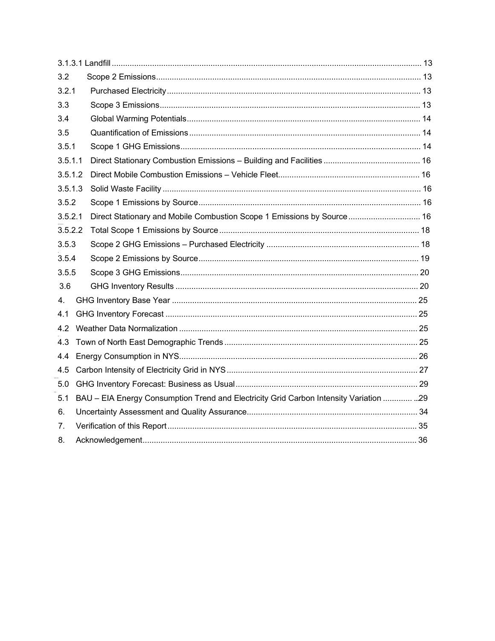| 3.2            |                                                                                       |  |
|----------------|---------------------------------------------------------------------------------------|--|
| 3.2.1          |                                                                                       |  |
| 3.3            |                                                                                       |  |
| 3.4            |                                                                                       |  |
| 3.5            |                                                                                       |  |
| 3.5.1          |                                                                                       |  |
| 3.5.1.1        |                                                                                       |  |
| 3.5.1.2        |                                                                                       |  |
| 3.5.1.3        |                                                                                       |  |
| 3.5.2          |                                                                                       |  |
| 3.5.2.1        | Direct Stationary and Mobile Combustion Scope 1 Emissions by Source 16                |  |
| 3.5.2.2        |                                                                                       |  |
| 3.5.3          |                                                                                       |  |
| 3.5.4          |                                                                                       |  |
| 3.5.5          |                                                                                       |  |
| 3.6            |                                                                                       |  |
| 4.             |                                                                                       |  |
| 4.1            |                                                                                       |  |
| 4.2            |                                                                                       |  |
| 4.3            |                                                                                       |  |
| 4.4            |                                                                                       |  |
| 4.5            |                                                                                       |  |
| 5.0            |                                                                                       |  |
| 5.1            | BAU - EIA Energy Consumption Trend and Electricity Grid Carbon Intensity Variation 29 |  |
| 6.             |                                                                                       |  |
| 7 <sub>1</sub> |                                                                                       |  |
| 8.             |                                                                                       |  |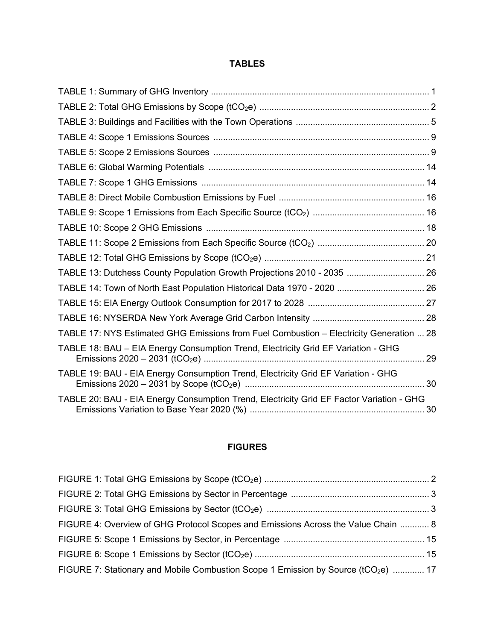#### **TABLES**

| TABLE 13: Dutchess County Population Growth Projections 2010 - 2035  26                  |  |
|------------------------------------------------------------------------------------------|--|
|                                                                                          |  |
|                                                                                          |  |
|                                                                                          |  |
| TABLE 17: NYS Estimated GHG Emissions from Fuel Combustion - Electricity Generation  28  |  |
| TABLE 18: BAU - EIA Energy Consumption Trend, Electricity Grid EF Variation - GHG        |  |
| TABLE 19: BAU - EIA Energy Consumption Trend, Electricity Grid EF Variation - GHG        |  |
| TABLE 20: BAU - EIA Energy Consumption Trend, Electricity Grid EF Factor Variation - GHG |  |

### **FIGURES**

| FIGURE 4: Overview of GHG Protocol Scopes and Emissions Across the Value Chain  8              |  |
|------------------------------------------------------------------------------------------------|--|
|                                                                                                |  |
|                                                                                                |  |
| FIGURE 7: Stationary and Mobile Combustion Scope 1 Emission by Source (tCO <sub>2</sub> e)  17 |  |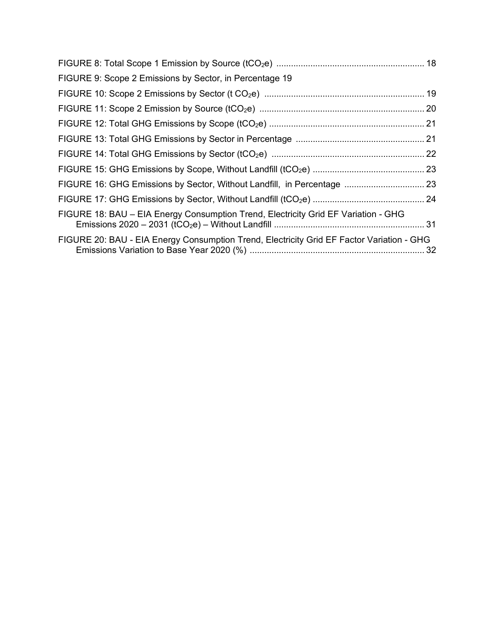| FIGURE 9: Scope 2 Emissions by Sector, in Percentage 19                                   |  |
|-------------------------------------------------------------------------------------------|--|
|                                                                                           |  |
|                                                                                           |  |
|                                                                                           |  |
|                                                                                           |  |
|                                                                                           |  |
|                                                                                           |  |
| FIGURE 16: GHG Emissions by Sector, Without Landfill, in Percentage  23                   |  |
|                                                                                           |  |
| FIGURE 18: BAU – EIA Energy Consumption Trend, Electricity Grid EF Variation - GHG        |  |
| FIGURE 20: BAU - EIA Energy Consumption Trend, Electricity Grid EF Factor Variation - GHG |  |
|                                                                                           |  |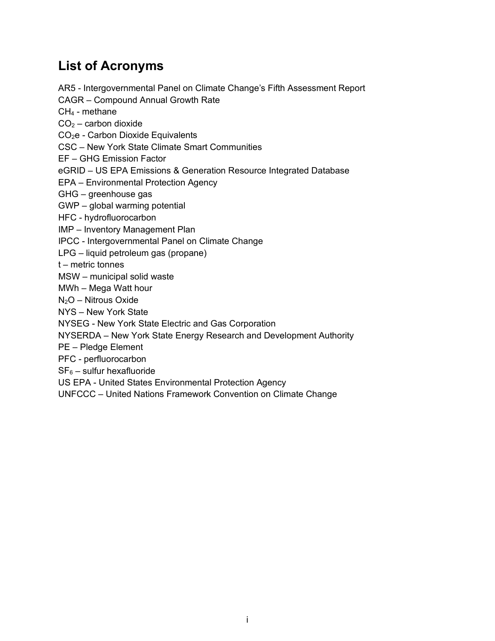# **List of Acronyms**

AR5 - Intergovernmental Panel on Climate Change's Fifth Assessment Report

CAGR – Compound Annual Growth Rate

 $CH<sub>4</sub>$  - methane

 $CO<sub>2</sub> -$  carbon dioxide

CO2e - Carbon Dioxide Equivalents

CSC – New York State Climate Smart Communities

EF – GHG Emission Factor

eGRID – US EPA Emissions & Generation Resource Integrated Database

EPA – Environmental Protection Agency

GHG – greenhouse gas

GWP – global warming potential

HFC - hydrofluorocarbon

IMP – Inventory Management Plan

IPCC - Intergovernmental Panel on Climate Change

LPG – liquid petroleum gas (propane)

t – metric tonnes

MSW – municipal solid waste

MWh – Mega Watt hour

 $N<sub>2</sub>O$  – Nitrous Oxide

NYS – New York State

NYSEG - New York State Electric and Gas Corporation

NYSERDA – New York State Energy Research and Development Authority

PE – Pledge Element

PFC - perfluorocarbon

 $SF<sub>6</sub>$  – sulfur hexafluoride

US EPA - United States Environmental Protection Agency

UNFCCC – United Nations Framework Convention on Climate Change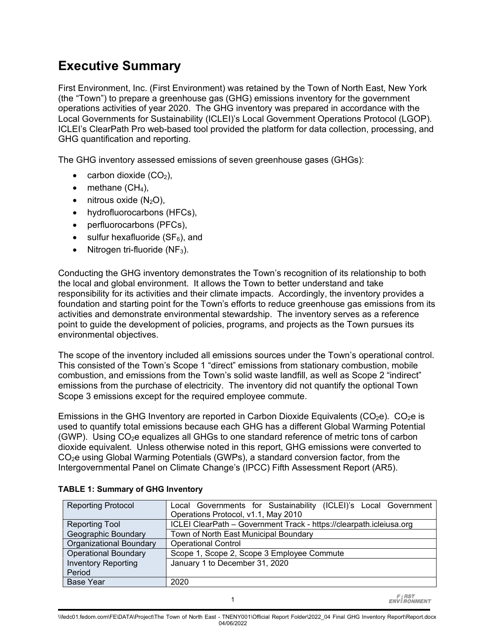# **Executive Summary**

First Environment, Inc. (First Environment) was retained by the Town of North East, New York (the "Town") to prepare a greenhouse gas (GHG) emissions inventory for the government operations activities of year 2020. The GHG inventory was prepared in accordance with the Local Governments for Sustainability (ICLEI)'s Local Government Operations Protocol (LGOP). ICLEI's ClearPath Pro web-based tool provided the platform for data collection, processing, and GHG quantification and reporting.

The GHG inventory assessed emissions of seven greenhouse gases (GHGs):

- carbon dioxide  $(CO<sub>2</sub>)$ ,
- $\bullet$  methane (CH<sub>4</sub>),
- $\bullet$  nitrous oxide (N<sub>2</sub>O),
- hydrofluorocarbons (HFCs),
- perfluorocarbons (PFCs),
- sulfur hexafluoride  $(SF_6)$ , and
- Nitrogen tri-fluoride  $(NF_3)$ .

Conducting the GHG inventory demonstrates the Town's recognition of its relationship to both the local and global environment. It allows the Town to better understand and take responsibility for its activities and their climate impacts. Accordingly, the inventory provides a foundation and starting point for the Town's efforts to reduce greenhouse gas emissions from its activities and demonstrate environmental stewardship. The inventory serves as a reference point to guide the development of policies, programs, and projects as the Town pursues its environmental objectives.

The scope of the inventory included all emissions sources under the Town's operational control. This consisted of the Town's Scope 1 "direct" emissions from stationary combustion, mobile combustion, and emissions from the Town's solid waste landfill, as well as Scope 2 "indirect" emissions from the purchase of electricity. The inventory did not quantify the optional Town Scope 3 emissions except for the required employee commute.

Emissions in the GHG Inventory are reported in Carbon Dioxide Equivalents ( $CO<sub>2</sub>e$ ).  $CO<sub>2</sub>e$  is used to quantify total emissions because each GHG has a different Global Warming Potential (GWP). Using  $CO<sub>2</sub>e$  equalizes all GHGs to one standard reference of metric tons of carbon dioxide equivalent. Unless otherwise noted in this report, GHG emissions were converted to CO2e using Global Warming Potentials (GWPs), a standard conversion factor, from the Intergovernmental Panel on Climate Change's (IPCC) Fifth Assessment Report (AR5).

| Local Governments for Sustainability (ICLEI)'s Local Government     |  |  |  |
|---------------------------------------------------------------------|--|--|--|
| Operations Protocol, v1.1, May 2010                                 |  |  |  |
| ICLEI ClearPath - Government Track - https://clearpath.icleiusa.org |  |  |  |
| Town of North East Municipal Boundary                               |  |  |  |
| <b>Operational Control</b>                                          |  |  |  |
| Scope 1, Scope 2, Scope 3 Employee Commute                          |  |  |  |
| January 1 to December 31, 2020                                      |  |  |  |
|                                                                     |  |  |  |
| 2020                                                                |  |  |  |
|                                                                     |  |  |  |

#### <span id="page-6-0"></span>**TABLE 1: Summary of GHG Inventory**

**FIRST**<br>ENVIRONMENT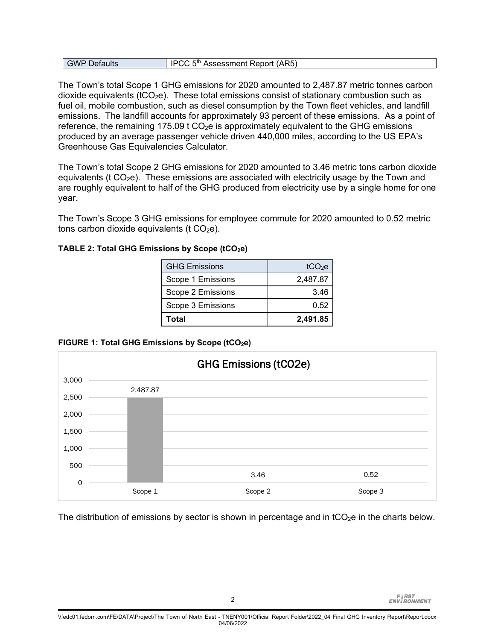| <b>GWP Defaults</b> | IPCC 5 <sup>th</sup> Assessment Report (AR5) |
|---------------------|----------------------------------------------|
|---------------------|----------------------------------------------|

The Town's total Scope 1 GHG emissions for 2020 amounted to 2,487.87 metric tonnes carbon dioxide equivalents ( $tCO<sub>2</sub>e$ ). These total emissions consist of stationary combustion such as fuel oil, mobile combustion, such as diesel consumption by the Town fleet vehicles, and landfill emissions. The landfill accounts for approximately 93 percent of these emissions. As a point of reference, the remaining  $175.09$  t  $CO<sub>2</sub>e$  is approximately equivalent to the GHG emissions produced by an average passenger vehicle driven 440,000 miles, according to the US EPA's Greenhouse Gas Equivalencies Calculator.

The Town's total Scope 2 GHG emissions for 2020 amounted to 3.46 metric tons carbon dioxide equivalents ( $t$  CO<sub>2</sub>e). These emissions are associated with electricity usage by the Town and are roughly equivalent to half of the GHG produced from electricity use by a single home for one year.

The Town's Scope 3 GHG emissions for employee commute for 2020 amounted to 0.52 metric tons carbon dioxide equivalents ( $t$  CO<sub>2</sub>e).

<span id="page-7-0"></span>**TABLE 2: Total GHG Emissions by Scope (tCO2e)**

| <b>GHG Emissions</b> | tCO <sub>2</sub> e |
|----------------------|--------------------|
| Scope 1 Emissions    | 2,487.87           |
| Scope 2 Emissions    | 3.46               |
| Scope 3 Emissions    | 0.52               |
| Total                | 2,491.85           |

<span id="page-7-1"></span>

|  | FIGURE 1: Total GHG Emissions by Scope (tCO <sub>2e</sub> ) |  |  |
|--|-------------------------------------------------------------|--|--|
|  |                                                             |  |  |



The distribution of emissions by sector is shown in percentage and in  $tCO<sub>2</sub>e$  in the charts below.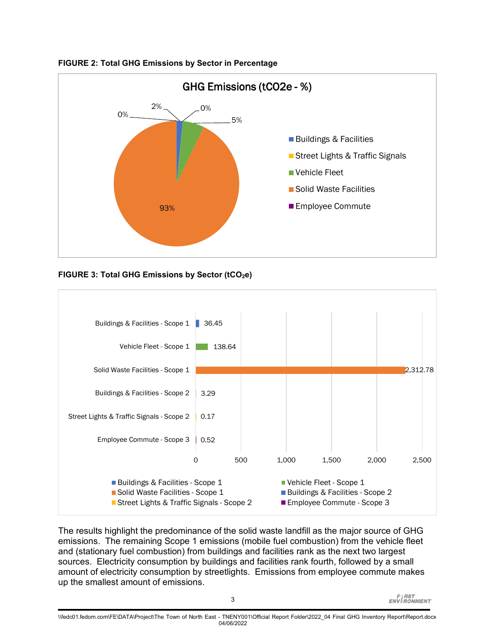

#### <span id="page-8-0"></span>**FIGURE 2: Total GHG Emissions by Sector in Percentage**

<span id="page-8-1"></span>



The results highlight the predominance of the solid waste landfill as the major source of GHG emissions. The remaining Scope 1 emissions (mobile fuel combustion) from the vehicle fleet and (stationary fuel combustion) from buildings and facilities rank as the next two largest sources. Electricity consumption by buildings and facilities rank fourth, followed by a small amount of electricity consumption by streetlights. Emissions from employee commute makes up the smallest amount of emissions.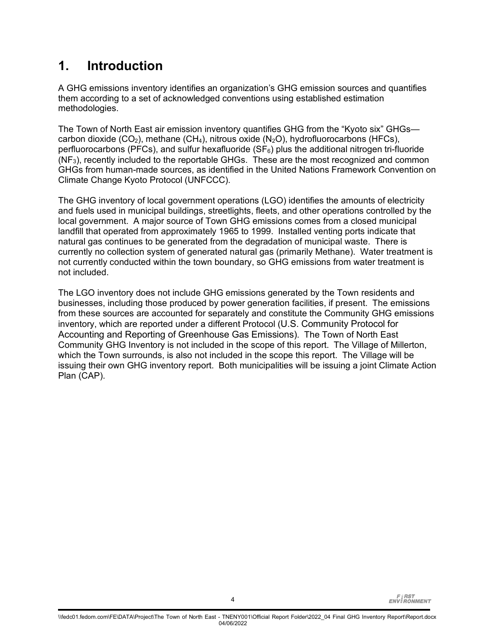# **1. Introduction**

A GHG emissions inventory identifies an organization's GHG emission sources and quantifies them according to a set of acknowledged conventions using established estimation methodologies.

The Town of North East air emission inventory quantifies GHG from the "Kyoto six" GHGs carbon dioxide (CO<sub>2</sub>), methane (CH<sub>4</sub>), nitrous oxide (N<sub>2</sub>O), hydrofluorocarbons (HFCs), perfluorocarbons (PFCs), and sulfur hexafluoride ( $SF<sub>6</sub>$ ) plus the additional nitrogen tri-fluoride (NF3), recently included to the reportable GHGs. These are the most recognized and common GHGs from human-made sources, as identified in the United Nations Framework Convention on Climate Change Kyoto Protocol (UNFCCC).

The GHG inventory of local government operations (LGO) identifies the amounts of electricity and fuels used in municipal buildings, streetlights, fleets, and other operations controlled by the local government. A major source of Town GHG emissions comes from a closed municipal landfill that operated from approximately 1965 to 1999. Installed venting ports indicate that natural gas continues to be generated from the degradation of municipal waste. There is currently no collection system of generated natural gas (primarily Methane). Water treatment is not currently conducted within the town boundary, so GHG emissions from water treatment is not included.

The LGO inventory does not include GHG emissions generated by the Town residents and businesses, including those produced by power generation facilities, if present. The emissions from these sources are accounted for separately and constitute the Community GHG emissions inventory, which are reported under a different Protocol (U.S. Community Protocol for Accounting and Reporting of Greenhouse Gas Emissions). The Town of North East Community GHG Inventory is not included in the scope of this report. The Village of Millerton, which the Town surrounds, is also not included in the scope this report. The Village will be issuing their own GHG inventory report. Both municipalities will be issuing a joint Climate Action Plan (CAP).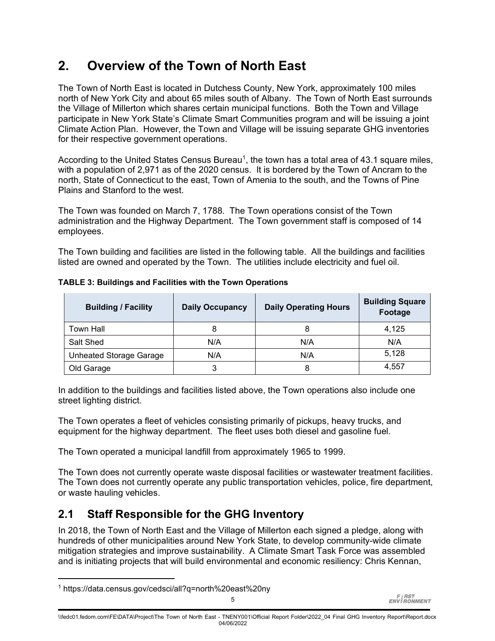# **2. Overview of the Town of North East**

The Town of North East is located in Dutchess County, New York, approximately 100 miles north of New York City and about 65 miles south of Albany. The Town of North East surrounds the Village of Millerton which shares certain municipal functions. Both the Town and Village participate in New York State's Climate Smart Communities program and will be issuing a joint Climate Action Plan. However, the Town and Village will be issuing separate GHG inventories for their respective government operations.

According to the United States Census Bureau<sup>[1](#page-10-1)</sup>, the town has a total area of 43.1 square miles, with a population of 2,971 as of the 2020 census. It is bordered by the Town of Ancram to the north, State of Connecticut to the east, Town of Amenia to the south, and the Towns of Pine Plains and Stanford to the west.

The Town was founded on March 7, 1788. The Town operations consist of the Town administration and the Highway Department. The Town government staff is composed of 14 employees.

The Town building and facilities are listed in the following table. All the buildings and facilities listed are owned and operated by the Town. The utilities include electricity and fuel oil.

| <b>Building / Facility</b>     | <b>Daily Occupancy</b> | <b>Daily Operating Hours</b> | <b>Building Square</b><br>Footage |
|--------------------------------|------------------------|------------------------------|-----------------------------------|
| <b>Town Hall</b>               | 8                      | 8                            | 4.125                             |
| Salt Shed                      | N/A                    | N/A                          | N/A                               |
| <b>Unheated Storage Garage</b> | N/A                    | N/A                          | 5,128                             |
| Old Garage                     | 3                      | 8                            | 4.557                             |

<span id="page-10-0"></span>**TABLE 3: Buildings and Facilities with the Town Operations**

In addition to the buildings and facilities listed above, the Town operations also include one street lighting district.

The Town operates a fleet of vehicles consisting primarily of pickups, heavy trucks, and equipment for the highway department. The fleet uses both diesel and gasoline fuel.

The Town operated a municipal landfill from approximately 1965 to 1999.

The Town does not currently operate waste disposal facilities or wastewater treatment facilities. The Town does not currently operate any public transportation vehicles, police, fire department, or waste hauling vehicles.

## **2.1 Staff Responsible for the GHG Inventory**

In 2018, the Town of North East and the Village of Millerton each signed a pledge, along with hundreds of other municipalities around New York State, to develop community-wide climate mitigation strategies and improve sustainability. A Climate Smart Task Force was assembled and is initiating projects that will build environmental and economic resiliency: Chris Kennan,

<span id="page-10-1"></span><sup>1</sup> https://data.census.gov/cedsci/all?q=north%20east%20ny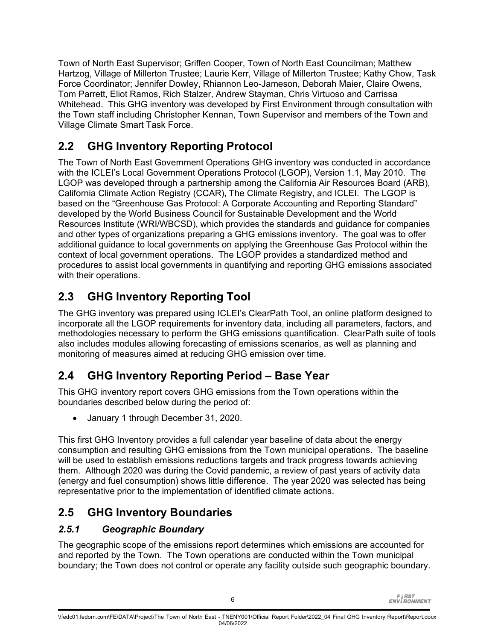Town of North East Supervisor; Griffen Cooper, Town of North East Councilman; Matthew Hartzog, Village of Millerton Trustee; Laurie Kerr, Village of Millerton Trustee; Kathy Chow, Task Force Coordinator; Jennifer Dowley, Rhiannon Leo-Jameson, Deborah Maier, Claire Owens, Tom Parrett, Eliot Ramos, Rich Stalzer, Andrew Stayman, Chris Virtuoso and Carrissa Whitehead. This GHG inventory was developed by First Environment through consultation with the Town staff including Christopher Kennan, Town Supervisor and members of the Town and Village Climate Smart Task Force.

# **2.2 GHG Inventory Reporting Protocol**

The Town of North East Government Operations GHG inventory was conducted in accordance with the ICLEI's Local Government Operations Protocol (LGOP), Version 1.1, May 2010. The LGOP was developed through a partnership among the California Air Resources Board (ARB), California Climate Action Registry (CCAR), The Climate Registry, and ICLEI. The LGOP is based on the "Greenhouse Gas Protocol: A Corporate Accounting and Reporting Standard" developed by the World Business Council for Sustainable Development and the World Resources Institute (WRI/WBCSD), which provides the standards and guidance for companies and other types of organizations preparing a GHG emissions inventory. The goal was to offer additional guidance to local governments on applying the Greenhouse Gas Protocol within the context of local government operations. The LGOP provides a standardized method and procedures to assist local governments in quantifying and reporting GHG emissions associated with their operations.

# **2.3 GHG Inventory Reporting Tool**

The GHG inventory was prepared using ICLEI's ClearPath Tool, an online platform designed to incorporate all the LGOP requirements for inventory data, including all parameters, factors, and methodologies necessary to perform the GHG emissions quantification. ClearPath suite of tools also includes modules allowing forecasting of emissions scenarios, as well as planning and monitoring of measures aimed at reducing GHG emission over time.

# **2.4 GHG Inventory Reporting Period – Base Year**

This GHG inventory report covers GHG emissions from the Town operations within the boundaries described below during the period of:

• January 1 through December 31, 2020.

This first GHG Inventory provides a full calendar year baseline of data about the energy consumption and resulting GHG emissions from the Town municipal operations. The baseline will be used to establish emissions reductions targets and track progress towards achieving them. Although 2020 was during the Covid pandemic, a review of past years of activity data (energy and fuel consumption) shows little difference. The year 2020 was selected has being representative prior to the implementation of identified climate actions.

# **2.5 GHG Inventory Boundaries**

### *2.5.1 Geographic Boundary*

The geographic scope of the emissions report determines which emissions are accounted for and reported by the Town. The Town operations are conducted within the Town municipal boundary; the Town does not control or operate any facility outside such geographic boundary.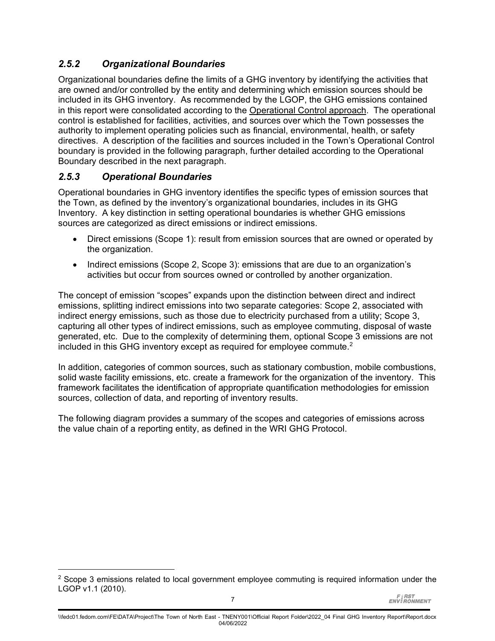### *2.5.2 Organizational Boundaries*

Organizational boundaries define the limits of a GHG inventory by identifying the activities that are owned and/or controlled by the entity and determining which emission sources should be included in its GHG inventory. As recommended by the LGOP, the GHG emissions contained in this report were consolidated according to the Operational Control approach. The operational control is established for facilities, activities, and sources over which the Town possesses the authority to implement operating policies such as financial, environmental, health, or safety directives. A description of the facilities and sources included in the Town's Operational Control boundary is provided in the following paragraph, further detailed according to the Operational Boundary described in the next paragraph.

### *2.5.3 Operational Boundaries*

Operational boundaries in GHG inventory identifies the specific types of emission sources that the Town, as defined by the inventory's organizational boundaries, includes in its GHG Inventory. A key distinction in setting operational boundaries is whether GHG emissions sources are categorized as direct emissions or indirect emissions.

- Direct emissions (Scope 1): result from emission sources that are owned or operated by the organization.
- Indirect emissions (Scope 2, Scope 3): emissions that are due to an organization's activities but occur from sources owned or controlled by another organization.

The concept of emission "scopes" expands upon the distinction between direct and indirect emissions, splitting indirect emissions into two separate categories: Scope 2, associated with indirect energy emissions, such as those due to electricity purchased from a utility; Scope 3, capturing all other types of indirect emissions, such as employee commuting, disposal of waste generated, etc. Due to the complexity of determining them, optional Scope 3 emissions are not included in this GHG inventory except as required for employee commute.<sup>[2](#page-12-0)</sup>

In addition, categories of common sources, such as stationary combustion, mobile combustions, solid waste facility emissions, etc. create a framework for the organization of the inventory. This framework facilitates the identification of appropriate quantification methodologies for emission sources, collection of data, and reporting of inventory results.

The following diagram provides a summary of the scopes and categories of emissions across the value chain of a reporting entity, as defined in the WRI GHG Protocol.

<span id="page-12-0"></span><sup>&</sup>lt;sup>2</sup> Scope 3 emissions related to local government employee commuting is required information under the LGOP v1.1 (2010).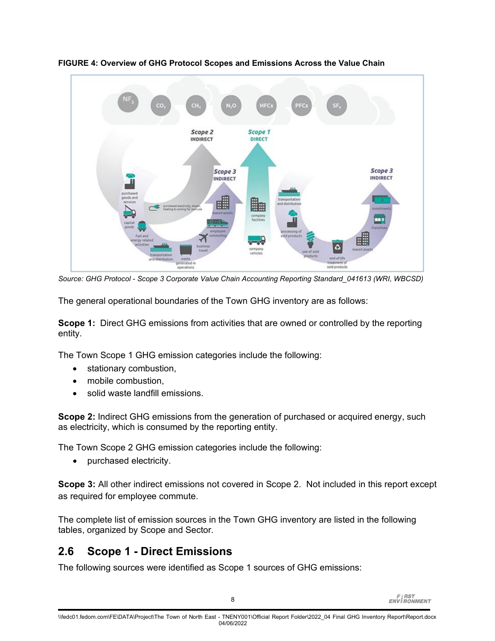

<span id="page-13-0"></span>**FIGURE 4: Overview of GHG Protocol Scopes and Emissions Across the Value Chain**

*Source: GHG Protocol - Scope 3 Corporate Value Chain Accounting Reporting Standard\_041613 (WRI, WBCSD)*

The general operational boundaries of the Town GHG inventory are as follows:

**Scope 1:** Direct GHG emissions from activities that are owned or controlled by the reporting entity.

The Town Scope 1 GHG emission categories include the following:

- stationary combustion,
- mobile combustion,
- solid waste landfill emissions.

**Scope 2:** Indirect GHG emissions from the generation of purchased or acquired energy, such as electricity, which is consumed by the reporting entity.

The Town Scope 2 GHG emission categories include the following:

• purchased electricity.

**Scope 3:** All other indirect emissions not covered in Scope 2. Not included in this report except as required for employee commute.

The complete list of emission sources in the Town GHG inventory are listed in the following tables, organized by Scope and Sector.

# **2.6 Scope 1 - Direct Emissions**

The following sources were identified as Scope 1 sources of GHG emissions: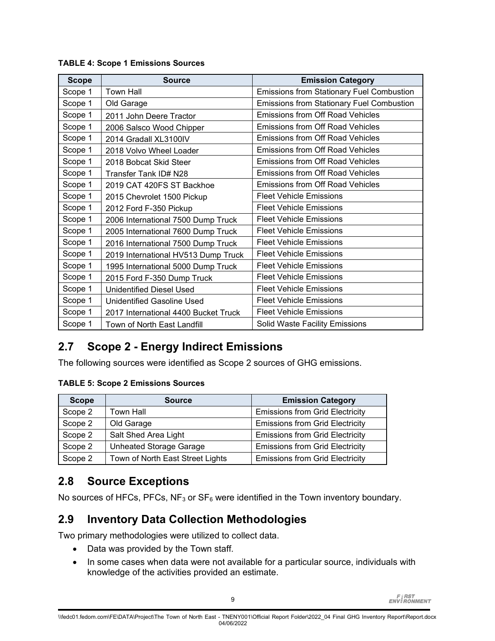| <b>Scope</b> | <b>Source</b>                        | <b>Emission Category</b>                         |
|--------------|--------------------------------------|--------------------------------------------------|
| Scope 1      | <b>Town Hall</b>                     | <b>Emissions from Stationary Fuel Combustion</b> |
| Scope 1      | Old Garage                           | <b>Emissions from Stationary Fuel Combustion</b> |
| Scope 1      | 2011 John Deere Tractor              | <b>Emissions from Off Road Vehicles</b>          |
| Scope 1      | 2006 Salsco Wood Chipper             | Emissions from Off Road Vehicles                 |
| Scope 1      | 2014 Gradall XL3100IV                | <b>Emissions from Off Road Vehicles</b>          |
| Scope 1      | 2018 Volvo Wheel Loader              | <b>Emissions from Off Road Vehicles</b>          |
| Scope 1      | 2018 Bobcat Skid Steer               | <b>Emissions from Off Road Vehicles</b>          |
| Scope 1      | Transfer Tank ID# N28                | Emissions from Off Road Vehicles                 |
| Scope 1      | 2019 CAT 420FS ST Backhoe            | <b>Emissions from Off Road Vehicles</b>          |
| Scope 1      | 2015 Chevrolet 1500 Pickup           | <b>Fleet Vehicle Emissions</b>                   |
| Scope 1      | 2012 Ford F-350 Pickup               | <b>Fleet Vehicle Emissions</b>                   |
| Scope 1      | 2006 International 7500 Dump Truck   | <b>Fleet Vehicle Emissions</b>                   |
| Scope 1      | 2005 International 7600 Dump Truck   | <b>Fleet Vehicle Emissions</b>                   |
| Scope 1      | 2016 International 7500 Dump Truck   | <b>Fleet Vehicle Emissions</b>                   |
| Scope 1      | 2019 International HV513 Dump Truck  | <b>Fleet Vehicle Emissions</b>                   |
| Scope 1      | 1995 International 5000 Dump Truck   | <b>Fleet Vehicle Emissions</b>                   |
| Scope 1      | 2015 Ford F-350 Dump Truck           | <b>Fleet Vehicle Emissions</b>                   |
| Scope 1      | <b>Unidentified Diesel Used</b>      | <b>Fleet Vehicle Emissions</b>                   |
| Scope 1      | Unidentified Gasoline Used           | <b>Fleet Vehicle Emissions</b>                   |
| Scope 1      | 2017 International 4400 Bucket Truck | <b>Fleet Vehicle Emissions</b>                   |
| Scope 1      | Town of North East Landfill          | Solid Waste Facility Emissions                   |

#### <span id="page-14-0"></span>**TABLE 4: Scope 1 Emissions Sources**

## **2.7 Scope 2 - Energy Indirect Emissions**

The following sources were identified as Scope 2 sources of GHG emissions.

#### <span id="page-14-1"></span>**TABLE 5: Scope 2 Emissions Sources**

| <b>Scope</b> | <b>Source</b>                    | <b>Emission Category</b>               |  |
|--------------|----------------------------------|----------------------------------------|--|
| Scope 2      | Town Hall                        | <b>Emissions from Grid Electricity</b> |  |
| Scope 2      | Old Garage                       | <b>Emissions from Grid Electricity</b> |  |
| Scope 2      | Salt Shed Area Light             | <b>Emissions from Grid Electricity</b> |  |
| Scope 2      | <b>Unheated Storage Garage</b>   | <b>Emissions from Grid Electricity</b> |  |
| Scope 2      | Town of North East Street Lights | <b>Emissions from Grid Electricity</b> |  |

### **2.8 Source Exceptions**

No sources of HFCs, PFCs,  $NF_3$  or  $SF_6$  were identified in the Town inventory boundary.

## **2.9 Inventory Data Collection Methodologies**

Two primary methodologies were utilized to collect data.

- Data was provided by the Town staff.
- In some cases when data were not available for a particular source, individuals with knowledge of the activities provided an estimate.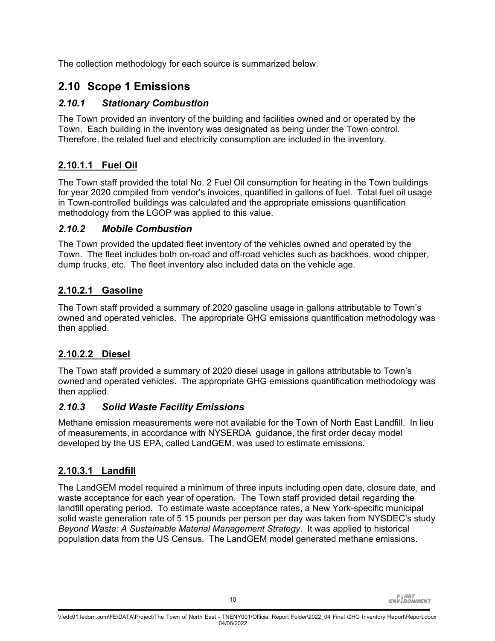The collection methodology for each source is summarized below.

## **2.10 Scope 1 Emissions**

### *2.10.1 Stationary Combustion*

The Town provided an inventory of the building and facilities owned and or operated by the Town. Each building in the inventory was designated as being under the Town control. Therefore, the related fuel and electricity consumption are included in the inventory.

### **2.10.1.1 Fuel Oil**

The Town staff provided the total No. 2 Fuel Oil consumption for heating in the Town buildings for year 2020 compiled from vendor's invoices, quantified in gallons of fuel. Total fuel oil usage in Town-controlled buildings was calculated and the appropriate emissions quantification methodology from the LGOP was applied to this value.

### *2.10.2 Mobile Combustion*

The Town provided the updated fleet inventory of the vehicles owned and operated by the Town. The fleet includes both on-road and off-road vehicles such as backhoes, wood chipper, dump trucks, etc. The fleet inventory also included data on the vehicle age.

### **2.10.2.1 Gasoline**

The Town staff provided a summary of 2020 gasoline usage in gallons attributable to Town's owned and operated vehicles. The appropriate GHG emissions quantification methodology was then applied.

### **2.10.2.2 Diesel**

The Town staff provided a summary of 2020 diesel usage in gallons attributable to Town's owned and operated vehicles. The appropriate GHG emissions quantification methodology was then applied.

### *2.10.3 Solid Waste Facility Emissions*

Methane emission measurements were not available for the Town of North East Landfill. In lieu of measurements, in accordance with NYSERDA guidance, the first order decay model developed by the US EPA, called LandGEM, was used to estimate emissions.

### **2.10.3.1 Landfill**

The LandGEM model required a minimum of three inputs including open date, closure date, and waste acceptance for each year of operation. The Town staff provided detail regarding the landfill operating period. To estimate waste acceptance rates, a New York-specific municipal solid waste generation rate of 5.15 pounds per person per day was taken from NYSDEC's study *Beyond Waste: A Sustainable Material Management Strategy*. It was applied to historical population data from the US Census. The LandGEM model generated methane emissions.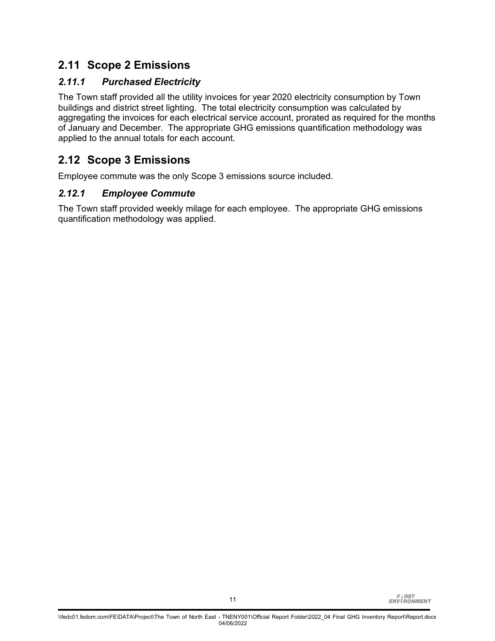## **2.11 Scope 2 Emissions**

### *2.11.1 Purchased Electricity*

The Town staff provided all the utility invoices for year 2020 electricity consumption by Town buildings and district street lighting. The total electricity consumption was calculated by aggregating the invoices for each electrical service account, prorated as required for the months of January and December. The appropriate GHG emissions quantification methodology was applied to the annual totals for each account.

### **2.12 Scope 3 Emissions**

Employee commute was the only Scope 3 emissions source included.

### *2.12.1 Employee Commute*

The Town staff provided weekly milage for each employee. The appropriate GHG emissions quantification methodology was applied.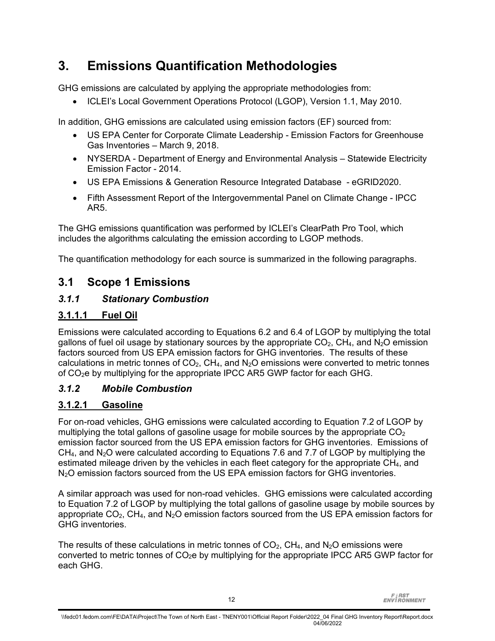# **3. Emissions Quantification Methodologies**

GHG emissions are calculated by applying the appropriate methodologies from:

• ICLEI's Local Government Operations Protocol (LGOP), Version 1.1, May 2010.

In addition, GHG emissions are calculated using emission factors (EF) sourced from:

- US EPA Center for Corporate Climate Leadership Emission Factors for Greenhouse Gas Inventories – March 9, 2018.
- NYSERDA Department of Energy and Environmental Analysis Statewide Electricity Emission Factor - 2014.
- US EPA Emissions & Generation Resource Integrated Database eGRID2020.
- Fifth Assessment Report of the Intergovernmental Panel on Climate Change IPCC AR5.

The GHG emissions quantification was performed by ICLEI's ClearPath Pro Tool, which includes the algorithms calculating the emission according to LGOP methods.

The quantification methodology for each source is summarized in the following paragraphs.

### **3.1 Scope 1 Emissions**

### *3.1.1 Stationary Combustion*

### **3.1.1.1 Fuel Oil**

Emissions were calculated according to Equations 6.2 and 6.4 of LGOP by multiplying the total gallons of fuel oil usage by stationary sources by the appropriate  $CO<sub>2</sub>$ , CH<sub>4</sub>, and N<sub>2</sub>O emission factors sourced from US EPA emission factors for GHG inventories. The results of these calculations in metric tonnes of  $CO<sub>2</sub>$ , CH<sub>4</sub>, and N<sub>2</sub>O emissions were converted to metric tonnes of  $CO<sub>2</sub>e$  by multiplying for the appropriate IPCC AR5 GWP factor for each GHG.

### *3.1.2 Mobile Combustion*

### **3.1.2.1 Gasoline**

For on-road vehicles, GHG emissions were calculated according to Equation 7.2 of LGOP by multiplying the total gallons of gasoline usage for mobile sources by the appropriate  $CO<sub>2</sub>$ emission factor sourced from the US EPA emission factors for GHG inventories. Emissions of  $CH<sub>4</sub>$ , and N<sub>2</sub>O were calculated according to Equations 7.6 and 7.7 of LGOP by multiplying the estimated mileage driven by the vehicles in each fleet category for the appropriate  $CH<sub>4</sub>$ , and N<sub>2</sub>O emission factors sourced from the US EPA emission factors for GHG inventories.

A similar approach was used for non-road vehicles. GHG emissions were calculated according to Equation 7.2 of LGOP by multiplying the total gallons of gasoline usage by mobile sources by appropriate  $CO<sub>2</sub>$ , CH<sub>4</sub>, and N<sub>2</sub>O emission factors sourced from the US EPA emission factors for GHG inventories.

The results of these calculations in metric tonnes of  $CO<sub>2</sub>$ , CH<sub>4</sub>, and N<sub>2</sub>O emissions were converted to metric tonnes of  $CO<sub>2</sub>e$  by multiplying for the appropriate IPCC AR5 GWP factor for each GHG.

**FIRST**<br>ENVIRONMENT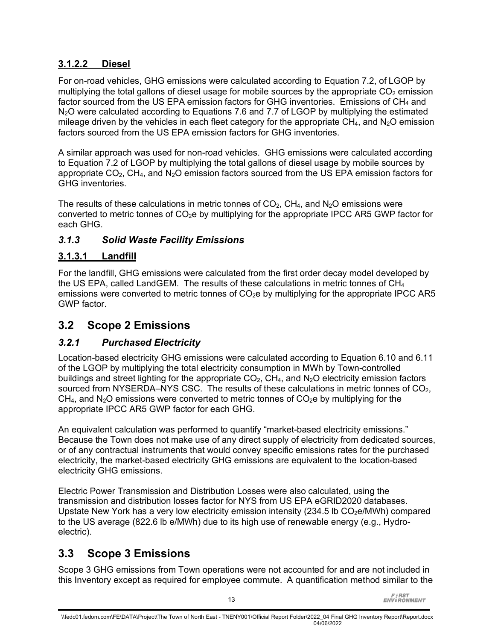### **3.1.2.2 Diesel**

For on-road vehicles, GHG emissions were calculated according to Equation 7.2, of LGOP by multiplying the total gallons of diesel usage for mobile sources by the appropriate  $CO<sub>2</sub>$  emission factor sourced from the US EPA emission factors for GHG inventories. Emissions of  $CH<sub>4</sub>$  and N<sub>2</sub>O were calculated according to Equations 7.6 and 7.7 of LGOP by multiplying the estimated mileage driven by the vehicles in each fleet category for the appropriate  $CH_4$ , and  $N_2O$  emission factors sourced from the US EPA emission factors for GHG inventories.

A similar approach was used for non-road vehicles. GHG emissions were calculated according to Equation 7.2 of LGOP by multiplying the total gallons of diesel usage by mobile sources by appropriate  $CO<sub>2</sub>$ , CH<sub>4</sub>, and N<sub>2</sub>O emission factors sourced from the US EPA emission factors for GHG inventories.

The results of these calculations in metric tonnes of  $CO<sub>2</sub>$ , CH<sub>4</sub>, and N<sub>2</sub>O emissions were converted to metric tonnes of  $CO<sub>2</sub>e$  by multiplying for the appropriate IPCC AR5 GWP factor for each GHG.

### *3.1.3 Solid Waste Facility Emissions*

### **3.1.3.1 Landfill**

For the landfill, GHG emissions were calculated from the first order decay model developed by the US EPA, called LandGEM. The results of these calculations in metric tonnes of  $CH<sub>4</sub>$ emissions were converted to metric tonnes of  $CO<sub>2</sub>e$  by multiplying for the appropriate IPCC AR5 GWP factor.

## **3.2 Scope 2 Emissions**

### *3.2.1 Purchased Electricity*

Location-based electricity GHG emissions were calculated according to Equation 6.10 and 6.11 of the LGOP by multiplying the total electricity consumption in MWh by Town-controlled buildings and street lighting for the appropriate  $CO<sub>2</sub>$ , CH<sub>4</sub>, and N<sub>2</sub>O electricity emission factors sourced from NYSERDA–NYS CSC. The results of these calculations in metric tonnes of CO<sub>2</sub>,  $CH_4$ , and N<sub>2</sub>O emissions were converted to metric tonnes of  $CO_2$ e by multiplying for the appropriate IPCC AR5 GWP factor for each GHG.

An equivalent calculation was performed to quantify "market-based electricity emissions." Because the Town does not make use of any direct supply of electricity from dedicated sources, or of any contractual instruments that would convey specific emissions rates for the purchased electricity, the market-based electricity GHG emissions are equivalent to the location-based electricity GHG emissions.

Electric Power Transmission and Distribution Losses were also calculated, using the transmission and distribution losses factor for NYS from US EPA eGRID2020 databases. Upstate New York has a very low electricity emission intensity  $(234.5$  lb CO<sub>2</sub>e/MWh) compared to the US average (822.6 lb e/MWh) due to its high use of renewable energy (e.g., Hydroelectric).

# **3.3 Scope 3 Emissions**

Scope 3 GHG emissions from Town operations were not accounted for and are not included in this Inventory except as required for employee commute. A quantification method similar to the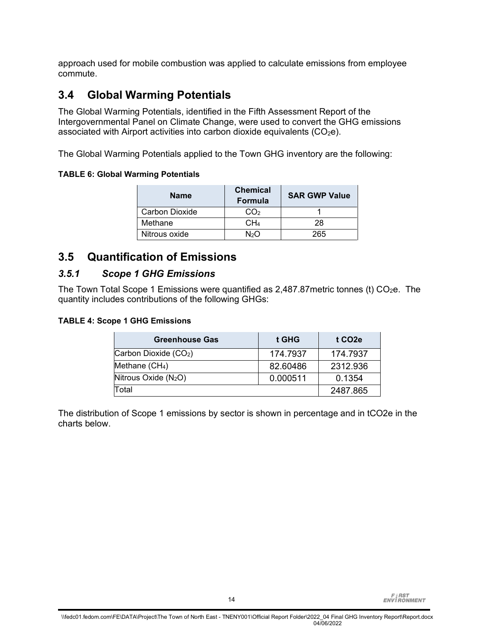approach used for mobile combustion was applied to calculate emissions from employee commute.

### **3.4 Global Warming Potentials**

The Global Warming Potentials, identified in the Fifth Assessment Report of the Intergovernmental Panel on Climate Change, were used to convert the GHG emissions associated with Airport activities into carbon dioxide equivalents  $(CO<sub>2</sub>e)$ .

The Global Warming Potentials applied to the Town GHG inventory are the following:

#### <span id="page-19-0"></span>**TABLE 6: Global Warming Potentials**

| <b>Name</b>    | <b>Chemical</b><br>Formula | <b>SAR GWP Value</b> |
|----------------|----------------------------|----------------------|
| Carbon Dioxide | CO <sub>2</sub>            |                      |
| Methane        | CH4                        | 28                   |
| Nitrous oxide  | ่ N∍∩                      | 265.                 |

### **3.5 Quantification of Emissions**

### *3.5.1 Scope 1 GHG Emissions*

The Town Total Scope 1 Emissions were quantified as 2,487.87 metric tonnes (t)  $CO<sub>2</sub>e$ . The quantity includes contributions of the following GHGs:

#### <span id="page-19-1"></span>**TABLE 4: Scope 1 GHG Emissions**

| <b>Greenhouse Gas</b>  | t GHG    | t CO <sub>2</sub> e |
|------------------------|----------|---------------------|
| Carbon Dioxide (CO2)   | 174.7937 | 174.7937            |
| Methane $(CH4)$        | 82.60486 | 2312.936            |
| Nitrous Oxide $(N_2O)$ | 0.000511 | 0.1354              |
| Total                  |          | 2487.865            |

The distribution of Scope 1 emissions by sector is shown in percentage and in tCO2e in the charts below.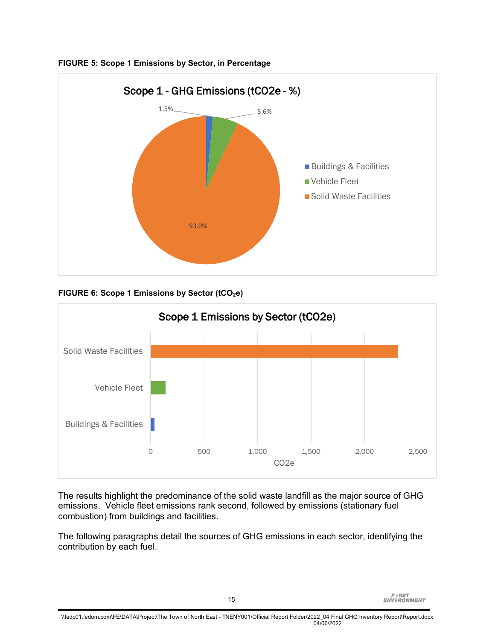

<span id="page-20-0"></span>**FIGURE 5: Scope 1 Emissions by Sector, in Percentage**

<span id="page-20-1"></span>**FIGURE 6: Scope 1 Emissions by Sector (tCO<sub>2</sub>e)** 



The results highlight the predominance of the solid waste landfill as the major source of GHG emissions. Vehicle fleet emissions rank second, followed by emissions (stationary fuel combustion) from buildings and facilities.

The following paragraphs detail the sources of GHG emissions in each sector, identifying the contribution by each fuel.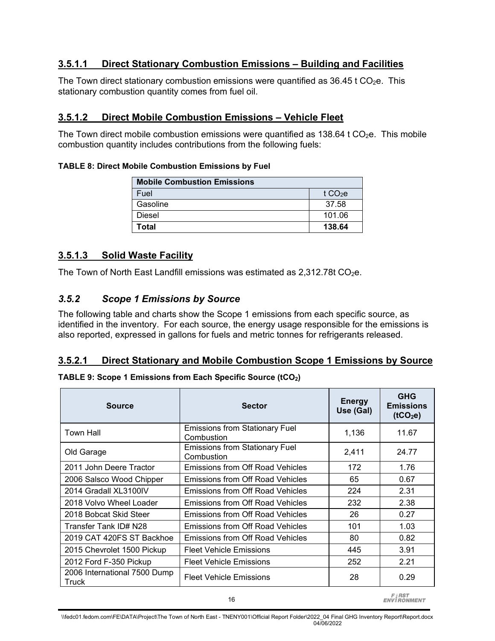### **3.5.1.1 Direct Stationary Combustion Emissions – Building and Facilities**

The Town direct stationary combustion emissions were quantified as  $36.45$  t CO<sub>2</sub>e. This stationary combustion quantity comes from fuel oil.

### **3.5.1.2 Direct Mobile Combustion Emissions – Vehicle Fleet**

The Town direct mobile combustion emissions were quantified as  $138.64$  t CO<sub>2</sub>e. This mobile combustion quantity includes contributions from the following fuels:

#### <span id="page-21-0"></span>**TABLE 8: Direct Mobile Combustion Emissions by Fuel**

| <b>Mobile Combustion Emissions</b> |          |
|------------------------------------|----------|
| Fuel                               | t $CO2e$ |
| Gasoline                           | 37.58    |
| Diesel                             | 101.06   |
| Total                              | 138.64   |

### **3.5.1.3 Solid Waste Facility**

The Town of North East Landfill emissions was estimated as  $2,312.78t$  CO<sub>2</sub>e.

### *3.5.2 Scope 1 Emissions by Source*

The following table and charts show the Scope 1 emissions from each specific source, as identified in the inventory. For each source, the energy usage responsible for the emissions is also reported, expressed in gallons for fuels and metric tonnes for refrigerants released.

#### **3.5.2.1 Direct Stationary and Mobile Combustion Scope 1 Emissions by Source**

#### <span id="page-21-1"></span>**TABLE 9: Scope 1 Emissions from Each Specific Source (tCO2)**

| <b>Source</b>                         | <b>Sector</b>                                       | <b>Energy</b><br>Use (Gal) | <b>GHG</b><br><b>Emissions</b><br>(tCO <sub>2</sub> e) |
|---------------------------------------|-----------------------------------------------------|----------------------------|--------------------------------------------------------|
| <b>Town Hall</b>                      | <b>Emissions from Stationary Fuel</b><br>Combustion | 1,136                      | 11.67                                                  |
| Old Garage                            | <b>Emissions from Stationary Fuel</b><br>Combustion | 2,411                      | 24.77                                                  |
| 2011 John Deere Tractor               | Emissions from Off Road Vehicles                    | 172                        | 1.76                                                   |
| 2006 Salsco Wood Chipper              | Emissions from Off Road Vehicles                    | 65                         | 0.67                                                   |
| 2014 Gradall XL3100IV                 | Emissions from Off Road Vehicles                    | 224                        | 2.31                                                   |
| 2018 Volvo Wheel Loader               | Emissions from Off Road Vehicles                    | 232                        | 2.38                                                   |
| 2018 Bobcat Skid Steer                | Emissions from Off Road Vehicles                    | 26                         | 0.27                                                   |
| Transfer Tank ID# N28                 | <b>Emissions from Off Road Vehicles</b>             | 101                        | 1.03                                                   |
| 2019 CAT 420FS ST Backhoe             | Emissions from Off Road Vehicles                    | 80                         | 0.82                                                   |
| 2015 Chevrolet 1500 Pickup            | <b>Fleet Vehicle Emissions</b>                      | 445                        | 3.91                                                   |
| 2012 Ford F-350 Pickup                | <b>Fleet Vehicle Emissions</b>                      | 252                        | 2.21                                                   |
| 2006 International 7500 Dump<br>Truck | <b>Fleet Vehicle Emissions</b>                      | 28                         | 0.29                                                   |

**FIRST**<br>ENVIRONMENT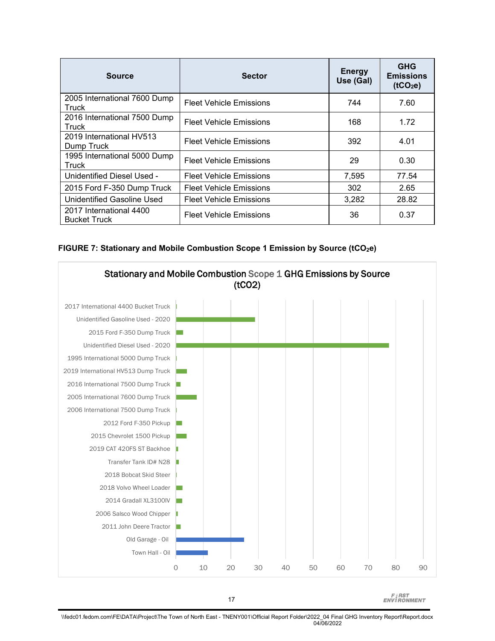| <b>Source</b>                                  | <b>Sector</b>                  | <b>Energy</b><br>Use (Gal) | <b>GHG</b><br><b>Emissions</b><br>(tCO <sub>2</sub> e) |
|------------------------------------------------|--------------------------------|----------------------------|--------------------------------------------------------|
| 2005 International 7600 Dump<br>Truck          | <b>Fleet Vehicle Emissions</b> | 744                        | 7.60                                                   |
| 2016 International 7500 Dump<br>Truck          | <b>Fleet Vehicle Emissions</b> | 168                        | 1.72                                                   |
| 2019 International HV513<br>Dump Truck         | <b>Fleet Vehicle Emissions</b> | 392                        | 4.01                                                   |
| 1995 International 5000 Dump<br>Truck          | <b>Fleet Vehicle Emissions</b> | 29                         | 0.30                                                   |
| Unidentified Diesel Used -                     | <b>Fleet Vehicle Emissions</b> | 7,595                      | 77.54                                                  |
| 2015 Ford F-350 Dump Truck                     | <b>Fleet Vehicle Emissions</b> | 302                        | 2.65                                                   |
| Unidentified Gasoline Used                     | <b>Fleet Vehicle Emissions</b> | 3,282                      | 28.82                                                  |
| 2017 International 4400<br><b>Bucket Truck</b> | <b>Fleet Vehicle Emissions</b> | 36                         | 0.37                                                   |

<span id="page-22-0"></span>



**FIRST**<br>ENVIRONMENT

\\fedc01.fedom.com\FE\DATA\Project\The Town of North East - TNENY001\Official Report Folder\2022\_04 Final GHG Inventory Report\Report.docx 04/06/2022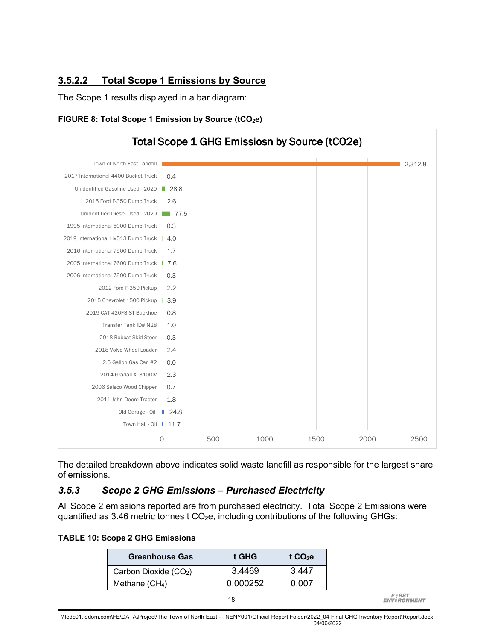### **3.5.2.2 Total Scope 1 Emissions by Source**

The Scope 1 results displayed in a bar diagram:

<span id="page-23-1"></span>



The detailed breakdown above indicates solid waste landfill as responsible for the largest share of emissions.

#### *3.5.3 Scope 2 GHG Emissions – Purchased Electricity*

All Scope 2 emissions reported are from purchased electricity. Total Scope 2 Emissions were quantified as 3.46 metric tonnes  $t$  CO<sub>2</sub>e, including contributions of the following GHGs:

#### <span id="page-23-0"></span>**TABLE 10: Scope 2 GHG Emissions**

| <b>Greenhouse Gas</b> | t GHG    | t $CO2e$     |
|-----------------------|----------|--------------|
| Carbon Dioxide (CO2)  | 3.4469   | 3.447        |
| Methane $(CH4)$       | 0.000252 | <u>በ በበ7</u> |
|                       | 18       |              |

**FIRST**<br>ENVIRONMENT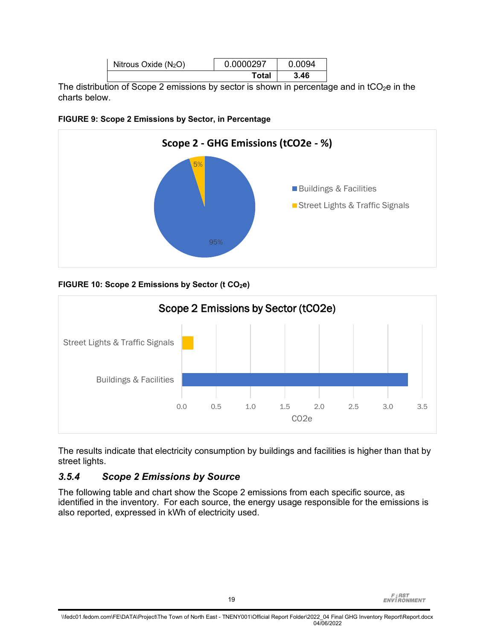|                        | Total     | 3.46   |  |
|------------------------|-----------|--------|--|
| Nitrous Oxide $(N_2O)$ | 0.0000297 | 0.0094 |  |

The distribution of Scope 2 emissions by sector is shown in percentage and in  $tCO<sub>2</sub>e$  in the charts below.

<span id="page-24-0"></span>



### <span id="page-24-1"></span>FIGURE 10: Scope 2 Emissions by Sector (t CO<sub>2</sub>e)



The results indicate that electricity consumption by buildings and facilities is higher than that by street lights.

### *3.5.4 Scope 2 Emissions by Source*

The following table and chart show the Scope 2 emissions from each specific source, as identified in the inventory. For each source, the energy usage responsible for the emissions is also reported, expressed in kWh of electricity used.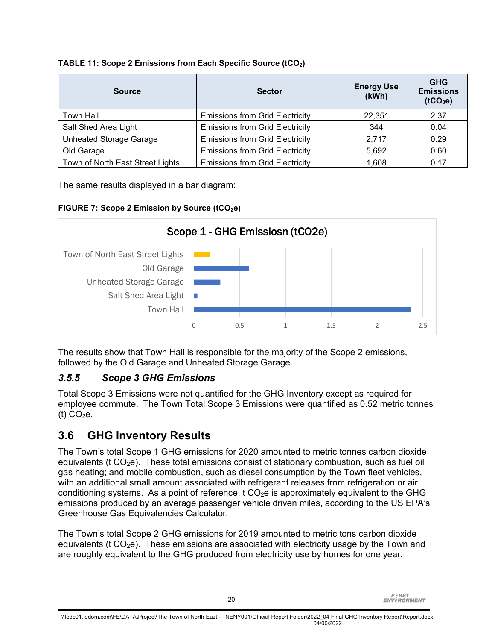<span id="page-25-0"></span>

| <b>Source</b>                    | <b>Sector</b>                          | <b>Energy Use</b><br>(kWh) | <b>GHG</b><br><b>Emissions</b><br>(tCO <sub>2</sub> e) |
|----------------------------------|----------------------------------------|----------------------------|--------------------------------------------------------|
| Town Hall                        | <b>Emissions from Grid Electricity</b> | 22,351                     | 2.37                                                   |
| Salt Shed Area Light             | <b>Emissions from Grid Electricity</b> | 344                        | 0.04                                                   |
| <b>Unheated Storage Garage</b>   | <b>Emissions from Grid Electricity</b> | 2,717                      | 0.29                                                   |
| Old Garage                       | <b>Emissions from Grid Electricity</b> | 5,692                      | 0.60                                                   |
| Town of North East Street Lights | <b>Emissions from Grid Electricity</b> | 1,608                      | 0.17                                                   |

The same results displayed in a bar diagram:

### <span id="page-25-1"></span>**FIGURE 7: Scope 2 Emission by Source (tCO2e)**



The results show that Town Hall is responsible for the majority of the Scope 2 emissions, followed by the Old Garage and Unheated Storage Garage.

### *3.5.5 Scope 3 GHG Emissions*

Total Scope 3 Emissions were not quantified for the GHG Inventory except as required for employee commute. The Town Total Scope 3 Emissions were quantified as 0.52 metric tonnes (t)  $CO<sub>2</sub>e$ .

## **3.6 GHG Inventory Results**

The Town's total Scope 1 GHG emissions for 2020 amounted to metric tonnes carbon dioxide equivalents (t  $CO<sub>2</sub>e$ ). These total emissions consist of stationary combustion, such as fuel oil gas heating; and mobile combustion, such as diesel consumption by the Town fleet vehicles, with an additional small amount associated with refrigerant releases from refrigeration or air conditioning systems. As a point of reference,  $t \, CO<sub>2</sub>e$  is approximately equivalent to the GHG emissions produced by an average passenger vehicle driven miles, according to the US EPA's Greenhouse Gas Equivalencies Calculator.

The Town's total Scope 2 GHG emissions for 2019 amounted to metric tons carbon dioxide equivalents (t  $CO<sub>2</sub>e$ ). These emissions are associated with electricity usage by the Town and are roughly equivalent to the GHG produced from electricity use by homes for one year.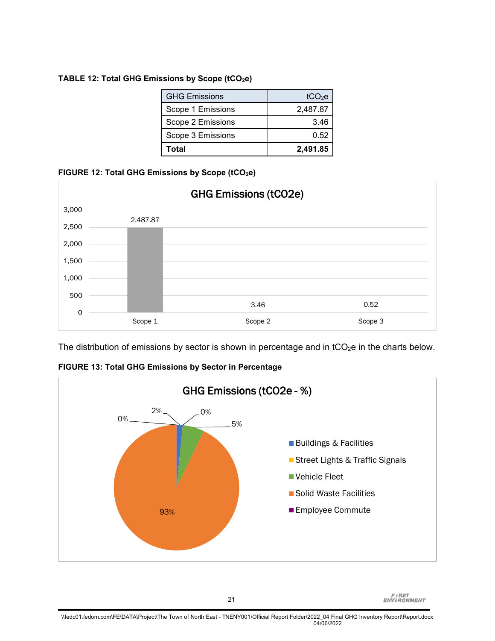#### <span id="page-26-0"></span>TABLE 12: Total GHG Emissions by Scope (tCO<sub>2</sub>e)

| <b>GHG Emissions</b> | tCO <sub>2</sub> e |
|----------------------|--------------------|
| Scope 1 Emissions    | 2,487.87           |
| Scope 2 Emissions    | 3.46               |
| Scope 3 Emissions    | 0.52               |
| Total                | 2.491.85           |

#### <span id="page-26-1"></span>FIGURE 12: Total GHG Emissions by Scope (tCO<sub>2</sub>e)



The distribution of emissions by sector is shown in percentage and in  $tCO_2e$  in the charts below.

<span id="page-26-2"></span>

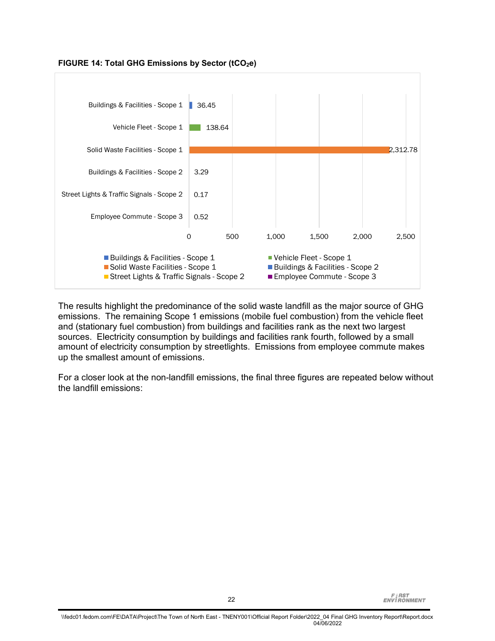

<span id="page-27-0"></span>**FIGURE 14: Total GHG Emissions by Sector (tCO2e)**

The results highlight the predominance of the solid waste landfill as the major source of GHG emissions. The remaining Scope 1 emissions (mobile fuel combustion) from the vehicle fleet and (stationary fuel combustion) from buildings and facilities rank as the next two largest sources. Electricity consumption by buildings and facilities rank fourth, followed by a small amount of electricity consumption by streetlights. Emissions from employee commute makes up the smallest amount of emissions.

For a closer look at the non-landfill emissions, the final three figures are repeated below without the landfill emissions: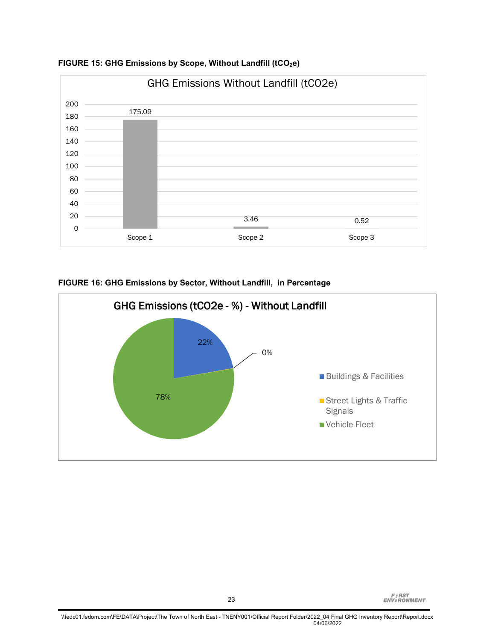

<span id="page-28-0"></span>**FIGURE 15: GHG Emissions by Scope, Without Landfill (tCO2e)**



<span id="page-28-1"></span>**FIGURE 16: GHG Emissions by Sector, Without Landfill, in Percentage**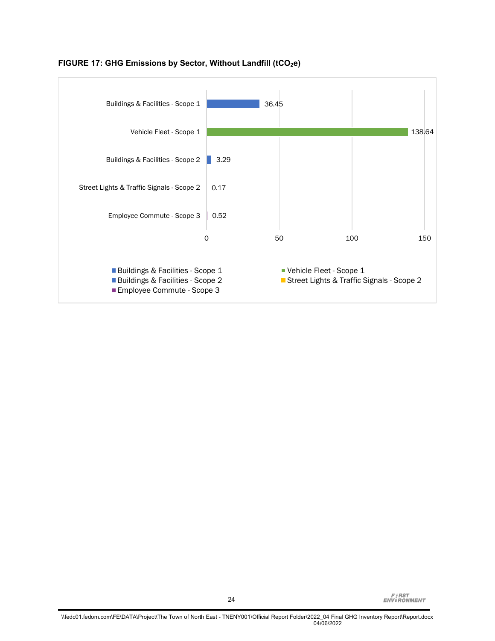

#### <span id="page-29-0"></span>**FIGURE 17: GHG Emissions by Sector, Without Landfill (tCO2e)**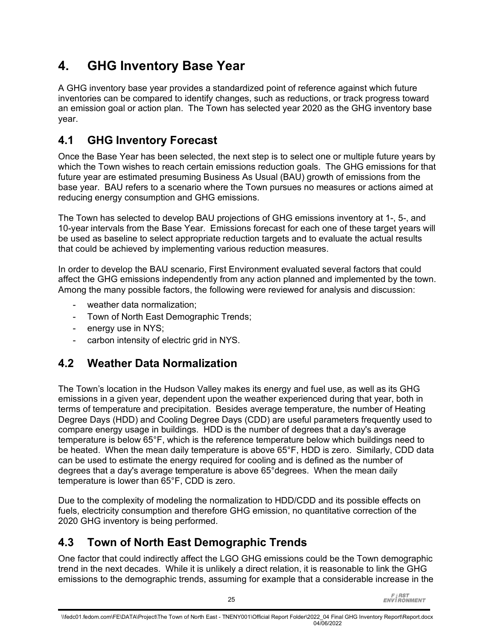# **4. GHG Inventory Base Year**

A GHG inventory base year provides a standardized point of reference against which future inventories can be compared to identify changes, such as reductions, or track progress toward an emission goal or action plan. The Town has selected year 2020 as the GHG inventory base year.

# **4.1 GHG Inventory Forecast**

Once the Base Year has been selected, the next step is to select one or multiple future years by which the Town wishes to reach certain emissions reduction goals. The GHG emissions for that future year are estimated presuming Business As Usual (BAU) growth of emissions from the base year. BAU refers to a scenario where the Town pursues no measures or actions aimed at reducing energy consumption and GHG emissions.

The Town has selected to develop BAU projections of GHG emissions inventory at 1-, 5-, and 10-year intervals from the Base Year. Emissions forecast for each one of these target years will be used as baseline to select appropriate reduction targets and to evaluate the actual results that could be achieved by implementing various reduction measures.

In order to develop the BAU scenario, First Environment evaluated several factors that could affect the GHG emissions independently from any action planned and implemented by the town. Among the many possible factors, the following were reviewed for analysis and discussion:

- weather data normalization:
- Town of North East Demographic Trends;
- energy use in NYS;
- carbon intensity of electric grid in NYS.

## **4.2 Weather Data Normalization**

The Town's location in the Hudson Valley makes its energy and fuel use, as well as its GHG emissions in a given year, dependent upon the weather experienced during that year, both in terms of temperature and precipitation. Besides average temperature, the number of Heating Degree Days (HDD) and Cooling Degree Days (CDD) are useful parameters frequently used to compare energy usage in buildings. HDD is the number of degrees that a day's average temperature is below 65°F, which is the reference temperature below which buildings need to be heated. When the mean daily temperature is above 65°F, HDD is zero. Similarly, CDD data can be used to estimate the energy required for cooling and is defined as the number of degrees that a day's average temperature is above 65°degrees. When the mean daily temperature is lower than 65°F, CDD is zero.

Due to the complexity of modeling the normalization to HDD/CDD and its possible effects on fuels, electricity consumption and therefore GHG emission, no quantitative correction of the 2020 GHG inventory is being performed.

## **4.3 Town of North East Demographic Trends**

One factor that could indirectly affect the LGO GHG emissions could be the Town demographic trend in the next decades. While it is unlikely a direct relation, it is reasonable to link the GHG emissions to the demographic trends, assuming for example that a considerable increase in the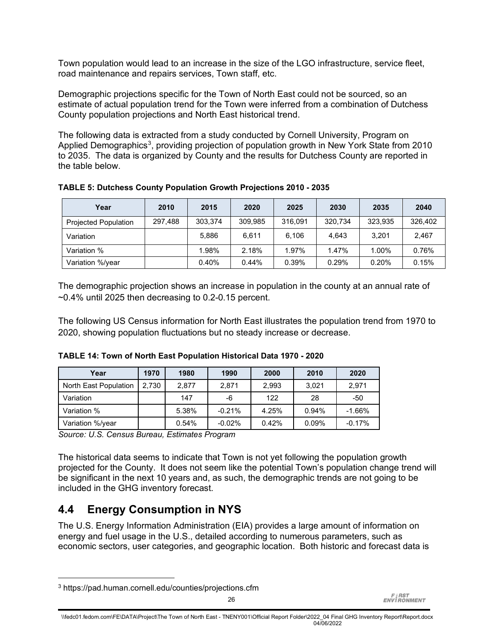Town population would lead to an increase in the size of the LGO infrastructure, service fleet, road maintenance and repairs services, Town staff, etc.

Demographic projections specific for the Town of North East could not be sourced, so an estimate of actual population trend for the Town were inferred from a combination of Dutchess County population projections and North East historical trend.

The following data is extracted from a study conducted by Cornell University, Program on Applied Demographics<sup>[3](#page-31-2)</sup>, providing projection of population growth in New York State from 2010 to 2035. The data is organized by County and the results for Dutchess County are reported in the table below.

<span id="page-31-0"></span>**TABLE 5: Dutchess County Population Growth Projections 2010 - 2035**

| Year                        | 2010    | 2015    | 2020    | 2025    | 2030    | 2035     | 2040    |
|-----------------------------|---------|---------|---------|---------|---------|----------|---------|
| <b>Projected Population</b> | 297,488 | 303.374 | 309,985 | 316.091 | 320.734 | 323.935  | 326,402 |
| Variation                   |         | 5.886   | 6.611   | 6.106   | 4.643   | 3.201    | 2.467   |
| Variation %                 |         | 1.98%   | 2.18%   | 1.97%   | 1.47%   | 1.00%    | 0.76%   |
| Variation %/year            |         | 0.40%   | 0.44%   | 0.39%   | 0.29%   | $0.20\%$ | 0.15%   |

The demographic projection shows an increase in population in the county at an annual rate of  $-0.4\%$  until 2025 then decreasing to 0.2-0.15 percent.

The following US Census information for North East illustrates the population trend from 1970 to 2020, showing population fluctuations but no steady increase or decrease.

<span id="page-31-1"></span>

| TABLE 14: Town of North East Population Historical Data 1970 - 2020 |  |  |  |  |  |  |  |  |
|---------------------------------------------------------------------|--|--|--|--|--|--|--|--|
|---------------------------------------------------------------------|--|--|--|--|--|--|--|--|

| Year                  | 1970  | 1980  | 1990     | 2000  | 2010  | 2020     |
|-----------------------|-------|-------|----------|-------|-------|----------|
| North East Population | 2.730 | 2.877 | 2.871    | 2,993 | 3,021 | 2,971    |
| Variation             |       | 147   | -6       | 122   | 28    | -50      |
| Variation %           |       | 5.38% | $-0.21%$ | 4.25% | 0.94% | $-1.66%$ |
| Variation %/year      |       | 0.54% | $-0.02%$ | 0.42% | 0.09% | $-0.17%$ |

*Source: U.S. Census Bureau, Estimates Program*

The historical data seems to indicate that Town is not yet following the population growth projected for the County. It does not seem like the potential Town's population change trend will be significant in the next 10 years and, as such, the demographic trends are not going to be included in the GHG inventory forecast.

## **4.4 Energy Consumption in NYS**

The U.S. Energy Information Administration (EIA) provides a large amount of information on energy and fuel usage in the U.S., detailed according to numerous parameters, such as economic sectors, user categories, and geographic location. Both historic and forecast data is

<span id="page-31-2"></span><sup>3</sup> https://pad.human.cornell.edu/counties/projections.cfm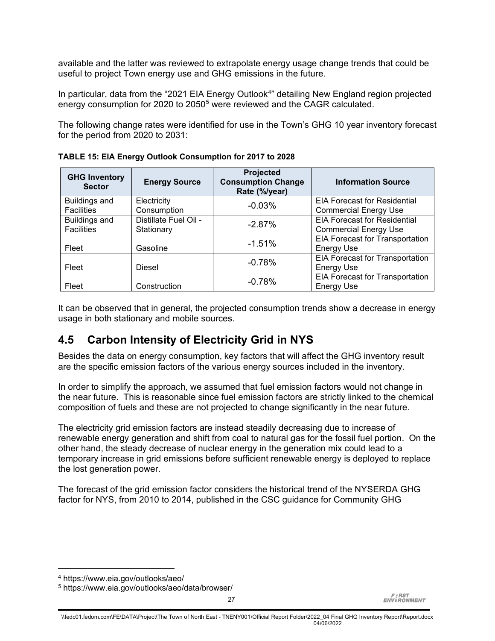available and the latter was reviewed to extrapolate energy usage change trends that could be useful to project Town energy use and GHG emissions in the future.

In particular, data from the "2021 EIA Energy Outlook<sup>[4](#page-32-1)</sup>" detailing New England region projected energy consumption for 2020 to 20[5](#page-32-2)0<sup>5</sup> were reviewed and the CAGR calculated.

The following change rates were identified for use in the Town's GHG 10 year inventory forecast for the period from 2020 to 2031:

| <b>GHG Inventory</b><br><b>Sector</b> | <b>Energy Source</b>  | Projected<br><b>Consumption Change</b><br>Rate (%/year) | <b>Information Source</b>              |
|---------------------------------------|-----------------------|---------------------------------------------------------|----------------------------------------|
| <b>Buildings and</b>                  | Electricity           | $-0.03%$                                                | <b>EIA Forecast for Residential</b>    |
| <b>Facilities</b>                     | Consumption           |                                                         | <b>Commercial Energy Use</b>           |
| <b>Buildings and</b>                  | Distillate Fuel Oil - | $-2.87%$                                                | <b>EIA Forecast for Residential</b>    |
| <b>Facilities</b>                     | Stationary            |                                                         | <b>Commercial Energy Use</b>           |
|                                       |                       | $-1.51%$                                                | EIA Forecast for Transportation        |
| Fleet                                 | Gasoline              |                                                         | <b>Energy Use</b>                      |
|                                       |                       | $-0.78%$                                                | <b>EIA Forecast for Transportation</b> |
| Fleet                                 | <b>Diesel</b>         |                                                         | <b>Energy Use</b>                      |
|                                       |                       | $-0.78%$                                                | <b>EIA Forecast for Transportation</b> |
| Fleet                                 | Construction          |                                                         | <b>Energy Use</b>                      |

<span id="page-32-0"></span>**TABLE 15: EIA Energy Outlook Consumption for 2017 to 2028**

It can be observed that in general, the projected consumption trends show a decrease in energy usage in both stationary and mobile sources.

## **4.5 Carbon Intensity of Electricity Grid in NYS**

Besides the data on energy consumption, key factors that will affect the GHG inventory result are the specific emission factors of the various energy sources included in the inventory.

In order to simplify the approach, we assumed that fuel emission factors would not change in the near future. This is reasonable since fuel emission factors are strictly linked to the chemical composition of fuels and these are not projected to change significantly in the near future.

The electricity grid emission factors are instead steadily decreasing due to increase of renewable energy generation and shift from coal to natural gas for the fossil fuel portion. On the other hand, the steady decrease of nuclear energy in the generation mix could lead to a temporary increase in grid emissions before sufficient renewable energy is deployed to replace the lost generation power.

The forecast of the grid emission factor considers the historical trend of the NYSERDA GHG factor for NYS, from 2010 to 2014, published in the CSC guidance for Community GHG

<span id="page-32-4"></span><span id="page-32-3"></span><span id="page-32-2"></span><span id="page-32-1"></span><sup>4</sup> https://www.eia.gov/outlooks/aeo/

<sup>5</sup> https://www.eia.gov/outlooks/aeo/data/browser/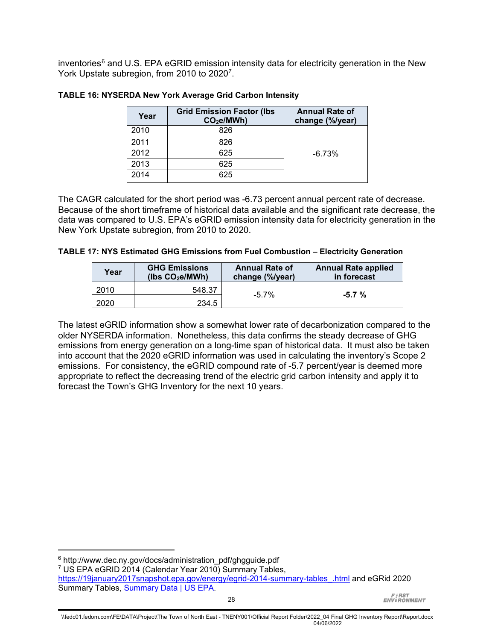inventories<sup>[6](#page-32-3)</sup> and U.S. EPA eGRID emission intensity data for electricity generation in the New York Upstate subregion, from 2010 to 2020<sup>7</sup>.

| Year | <b>Grid Emission Factor (Ibs</b><br>CO <sub>2</sub> e/MWh) | <b>Annual Rate of</b><br>change (%/year) |
|------|------------------------------------------------------------|------------------------------------------|
| 2010 | 826                                                        |                                          |
| 2011 | 826                                                        |                                          |
| 2012 | 625                                                        | $-6.73%$                                 |
| 2013 | 625                                                        |                                          |
| 2014 | 625                                                        |                                          |

#### <span id="page-33-0"></span>**TABLE 16: NYSERDA New York Average Grid Carbon Intensity**

The CAGR calculated for the short period was -6.73 percent annual percent rate of decrease. Because of the short timeframe of historical data available and the significant rate decrease, the data was compared to U.S. EPA's eGRID emission intensity data for electricity generation in the New York Upstate subregion, from 2010 to 2020.

<span id="page-33-1"></span>

|  | TABLE 17: NYS Estimated GHG Emissions from Fuel Combustion - Electricity Generation |  |  |  |
|--|-------------------------------------------------------------------------------------|--|--|--|
|--|-------------------------------------------------------------------------------------|--|--|--|

| Year | <b>GHG Emissions</b><br>(lbs $CO2e/MWh$ ) | <b>Annual Rate of</b><br>change (%/year) | <b>Annual Rate applied</b><br>in forecast |  |  |  |
|------|-------------------------------------------|------------------------------------------|-------------------------------------------|--|--|--|
| 2010 | 548.37                                    | $-5.7\%$                                 | $-5.7 \%$                                 |  |  |  |
| 2020 | 234.5                                     |                                          |                                           |  |  |  |

The latest eGRID information show a somewhat lower rate of decarbonization compared to the older NYSERDA information. Nonetheless, this data confirms the steady decrease of GHG emissions from energy generation on a long-time span of historical data. It must also be taken into account that the 2020 eGRID information was used in calculating the inventory's Scope 2 emissions. For consistency, the eGRID compound rate of -5.7 percent/year is deemed more appropriate to reflect the decreasing trend of the electric grid carbon intensity and apply it to forecast the Town's GHG Inventory for the next 10 years.

 $6$  http://www.dec.ny.gov/docs/administration\_pdf/ghgguide.pdf

<sup>7</sup> US EPA eGRID 2014 (Calendar Year 2010) Summary Tables,

[https://19january2017snapshot.epa.gov/energy/egrid-2014-summary-tables\\_.html](https://19january2017snapshot.epa.gov/energy/egrid-2014-summary-tables_.html) and eGRid 2020 Summary Tables, [Summary Data | US EPA.](https://www.epa.gov/egrid/summary-data)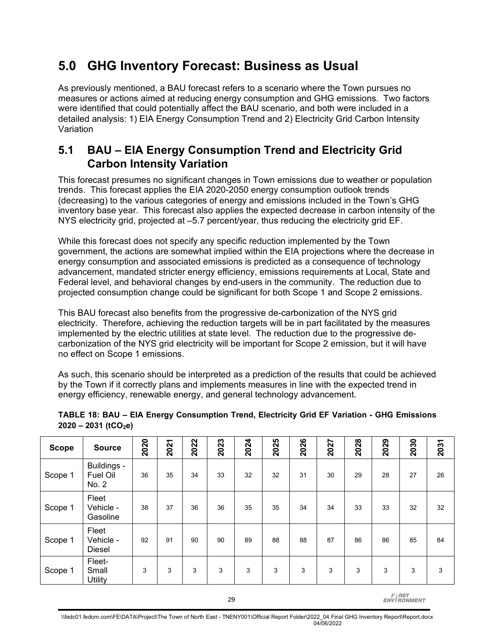# **5.0 GHG Inventory Forecast: Business as Usual**

As previously mentioned, a BAU forecast refers to a scenario where the Town pursues no measures or actions aimed at reducing energy consumption and GHG emissions. Two factors were identified that could potentially affect the BAU scenario, and both were included in a detailed analysis: 1) EIA Energy Consumption Trend and 2) Electricity Grid Carbon Intensity Variation

## **5.1 BAU – EIA Energy Consumption Trend and Electricity Grid Carbon Intensity Variation**

This forecast presumes no significant changes in Town emissions due to weather or population trends. This forecast applies the EIA 2020-2050 energy consumption outlook trends (decreasing) to the various categories of energy and emissions included in the Town's GHG inventory base year. This forecast also applies the expected decrease in carbon intensity of the NYS electricity grid, projected at –5.7 percent/year, thus reducing the electricity grid EF.

While this forecast does not specify any specific reduction implemented by the Town government, the actions are somewhat implied within the EIA projections where the decrease in energy consumption and associated emissions is predicted as a consequence of technology advancement, mandated stricter energy efficiency, emissions requirements at Local, State and Federal level, and behavioral changes by end-users in the community. The reduction due to projected consumption change could be significant for both Scope 1 and Scope 2 emissions.

This BAU forecast also benefits from the progressive de-carbonization of the NYS grid electricity. Therefore, achieving the reduction targets will be in part facilitated by the measures implemented by the electric utilities at state level. The reduction due to the progressive decarbonization of the NYS grid electricity will be important for Scope 2 emission, but it will have no effect on Scope 1 emissions.

As such, this scenario should be interpreted as a prediction of the results that could be achieved by the Town if it correctly plans and implements measures in line with the expected trend in energy efficiency, renewable energy, and general technology advancement.

| <b>Scope</b> | <b>Source</b>                       | 2020 | 2021 | 2022 | 2023 | 2024 | 2025 | 2026 | 2027 | 2028 | 2029 | 2030 | 2031 |
|--------------|-------------------------------------|------|------|------|------|------|------|------|------|------|------|------|------|
| Scope 1      | Buildings -<br>Fuel Oil<br>No. 2    | 36   | 35   | 34   | 33   | 32   | 32   | 31   | 30   | 29   | 28   | 27   | 26   |
| Scope 1      | Fleet<br>Vehicle -<br>Gasoline      | 38   | 37   | 36   | 36   | 35   | 35   | 34   | 34   | 33   | 33   | 32   | 32   |
| Scope 1      | Fleet<br>Vehicle -<br><b>Diesel</b> | 92   | 91   | 90   | 90   | 89   | 88   | 88   | 87   | 86   | 86   | 85   | 84   |
| Scope 1      | Fleet-<br>Small<br>Utility          | 3    | 3    | 3    | 3    | 3    | 3    | 3    | 3    | 3    | 3    | 3    | 3    |

#### <span id="page-34-0"></span>**TABLE 18: BAU – EIA Energy Consumption Trend, Electricity Grid EF Variation - GHG Emissions 2020 – 2031 (tCO2e)**

29

**FIRST**<br>ENVIRONMENT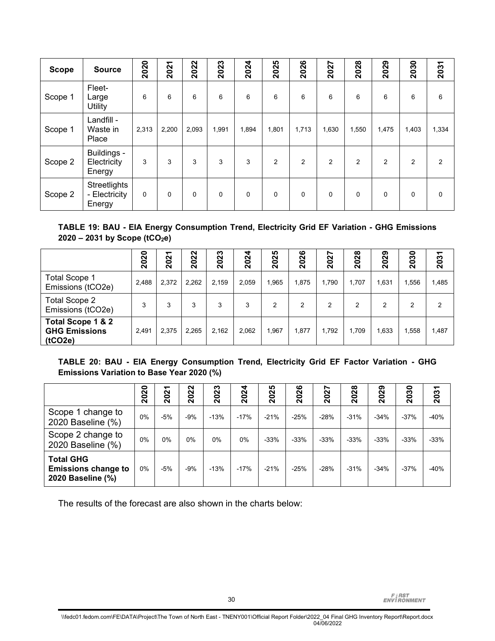| <b>Scope</b> | <b>Source</b>                           | 2020  | 2021        | 2022  | 2023     | 2024  | 2025           | 2026        | 2027        | 2028        | 2029     | 2030           | 2031           |
|--------------|-----------------------------------------|-------|-------------|-------|----------|-------|----------------|-------------|-------------|-------------|----------|----------------|----------------|
| Scope 1      | Fleet-<br>Large<br>Utility              | 6     | 6           | 6     | 6        | 6     | 6              | 6           | 6           | 6           | 6        | 6              | 6              |
| Scope 1      | Landfill -<br>Waste in<br>Place         | 2,313 | 2,200       | 2,093 | 1,991    | 1,894 | 1,801          | 1,713       | 1,630       | 1,550       | 1,475    | 1,403          | 1,334          |
| Scope 2      | Buildings -<br>Electricity<br>Energy    | 3     | 3           | 3     | 3        | 3     | $\overline{2}$ | 2           | 2           | 2           | 2        | $\overline{2}$ | $\overline{2}$ |
| Scope 2      | Streetlights<br>- Electricity<br>Energy | 0     | $\mathbf 0$ | 0     | $\Omega$ | 0     | $\Omega$       | $\mathbf 0$ | $\mathbf 0$ | $\mathbf 0$ | $\Omega$ | $\Omega$       | 0              |

#### <span id="page-35-0"></span>**TABLE 19: BAU - EIA Energy Consumption Trend, Electricity Grid EF Variation - GHG Emissions 2020 – 2031 by Scope (tCO2e)**

|                                                      | 2020  | ᠇<br>202 | 2022  | 2023  | 4<br><b>202</b> | <b>IQ</b><br>202 | ဖ<br><b>202</b> | r<br><b>202</b> | $\infty$<br><b>202</b> | 2029  | 0<br>ო<br>ິຊ | ᠆<br><b>203</b> |
|------------------------------------------------------|-------|----------|-------|-------|-----------------|------------------|-----------------|-----------------|------------------------|-------|--------------|-----------------|
| <b>Total Scope 1</b><br>Emissions (tCO2e)            | 2.488 | 2,372    | 2.262 | 2.159 | 2,059           | 1,965            | 1,875           | 1.790           | 1.707                  | 1,631 | 1,556        | 1,485           |
| <b>Total Scope 2</b><br>Emissions (tCO2e)            | 3     | 3        | 3     | 3     | 3               | 2                | 2               | 2               | 2                      | 2     | 2            | 2               |
| Total Scope 1 & 2<br><b>GHG Emissions</b><br>(tCO2e) | 2.491 | 2,375    | 2.265 | 2,162 | 2,062           | ,967             | 1,877           | 1.792           | 1.709                  | 1,633 | 1,558        | 1,487           |

#### <span id="page-35-1"></span>**TABLE 20: BAU - EIA Energy Consumption Trend, Electricity Grid EF Factor Variation - GHG Emissions Variation to Base Year 2020 (%)**

|                                                                     | 0<br><b>202</b> | ᠆<br>$\sim$<br>ິຊ | $\sim$<br>N<br>0<br>$\bar{\mathbf{N}}$ | 2023   | 4<br><b>202</b> | <b>IQ</b><br>202 | ဖ<br><b>202</b> | r<br>202 | $\infty$<br>N<br>0<br>$\bar{\mathbf{N}}$ | 2029   | 0<br>က<br>$\bullet$<br>$\bar{\mathbf{N}}$ | 2031   |
|---------------------------------------------------------------------|-----------------|-------------------|----------------------------------------|--------|-----------------|------------------|-----------------|----------|------------------------------------------|--------|-------------------------------------------|--------|
| Scope 1 change to<br>2020 Baseline (%)                              | 0%              | -5%               | $-9%$                                  | $-13%$ | $-17%$          | $-21%$           | $-25%$          | $-28%$   | $-31%$                                   | $-34%$ | $-37%$                                    | $-40%$ |
| Scope 2 change to<br>2020 Baseline (%)                              | 0%              | $0\%$             | $0\%$                                  | $0\%$  | 0%              | $-33%$           | $-33%$          | $-33%$   | $-33%$                                   | $-33%$ | $-33%$                                    | $-33%$ |
| <b>Total GHG</b><br><b>Emissions change to</b><br>2020 Baseline (%) | 0%              | -5%               | $-9%$                                  | $-13%$ | $-17%$          | $-21%$           | $-25%$          | $-28%$   | $-31%$                                   | $-34%$ | $-37%$                                    | $-40%$ |

The results of the forecast are also shown in the charts below: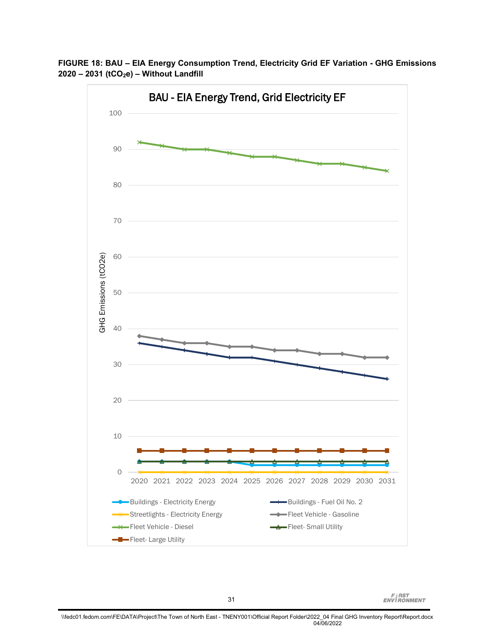<span id="page-36-0"></span>**FIGURE 18: BAU – EIA Energy Consumption Trend, Electricity Grid EF Variation - GHG Emissions 2020 – 2031 (tCO2e) – Without Landfill** 



**FIRST**<br>ENVIRONMENT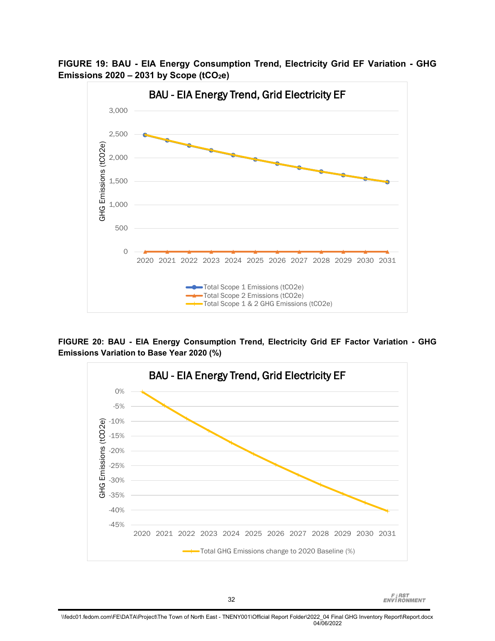**FIGURE 19: BAU - EIA Energy Consumption Trend, Electricity Grid EF Variation - GHG Emissions 2020 – 2031 by Scope (tCO2e)**



<span id="page-37-0"></span>**FIGURE 20: BAU - EIA Energy Consumption Trend, Electricity Grid EF Factor Variation - GHG Emissions Variation to Base Year 2020 (%)**

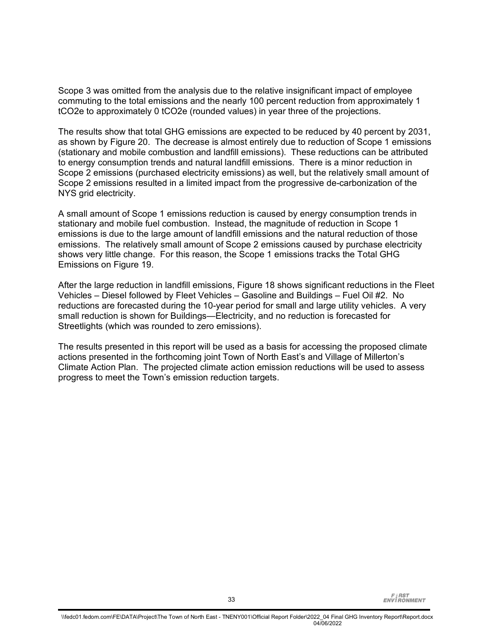Scope 3 was omitted from the analysis due to the relative insignificant impact of employee commuting to the total emissions and the nearly 100 percent reduction from approximately 1 tCO2e to approximately 0 tCO2e (rounded values) in year three of the projections.

The results show that total GHG emissions are expected to be reduced by 40 percent by 2031, as shown by Figure 20. The decrease is almost entirely due to reduction of Scope 1 emissions (stationary and mobile combustion and landfill emissions). These reductions can be attributed to energy consumption trends and natural landfill emissions. There is a minor reduction in Scope 2 emissions (purchased electricity emissions) as well, but the relatively small amount of Scope 2 emissions resulted in a limited impact from the progressive de-carbonization of the NYS grid electricity.

A small amount of Scope 1 emissions reduction is caused by energy consumption trends in stationary and mobile fuel combustion. Instead, the magnitude of reduction in Scope 1 emissions is due to the large amount of landfill emissions and the natural reduction of those emissions. The relatively small amount of Scope 2 emissions caused by purchase electricity shows very little change. For this reason, the Scope 1 emissions tracks the Total GHG Emissions on Figure 19.

After the large reduction in landfill emissions, Figure 18 shows significant reductions in the Fleet Vehicles – Diesel followed by Fleet Vehicles – Gasoline and Buildings – Fuel Oil #2. No reductions are forecasted during the 10-year period for small and large utility vehicles. A very small reduction is shown for Buildings—Electricity, and no reduction is forecasted for Streetlights (which was rounded to zero emissions).

The results presented in this report will be used as a basis for accessing the proposed climate actions presented in the forthcoming joint Town of North East's and Village of Millerton's Climate Action Plan. The projected climate action emission reductions will be used to assess progress to meet the Town's emission reduction targets.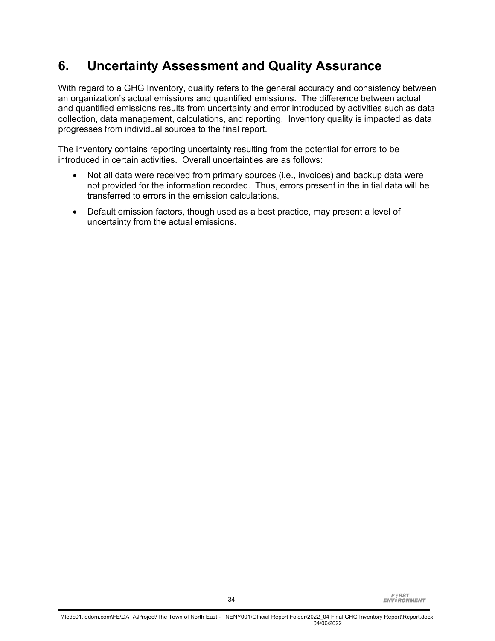# **6. Uncertainty Assessment and Quality Assurance**

With regard to a GHG Inventory, quality refers to the general accuracy and consistency between an organization's actual emissions and quantified emissions. The difference between actual and quantified emissions results from uncertainty and error introduced by activities such as data collection, data management, calculations, and reporting. Inventory quality is impacted as data progresses from individual sources to the final report.

The inventory contains reporting uncertainty resulting from the potential for errors to be introduced in certain activities. Overall uncertainties are as follows:

- Not all data were received from primary sources (i.e., invoices) and backup data were not provided for the information recorded. Thus, errors present in the initial data will be transferred to errors in the emission calculations.
- Default emission factors, though used as a best practice, may present a level of uncertainty from the actual emissions.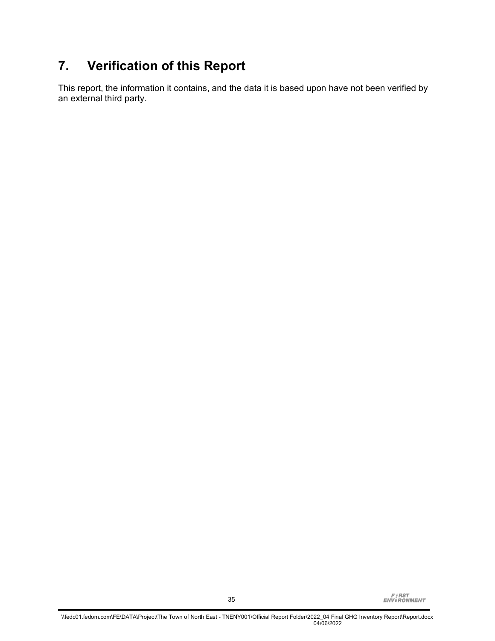# **7. Verification of this Report**

This report, the information it contains, and the data it is based upon have not been verified by an external third party.